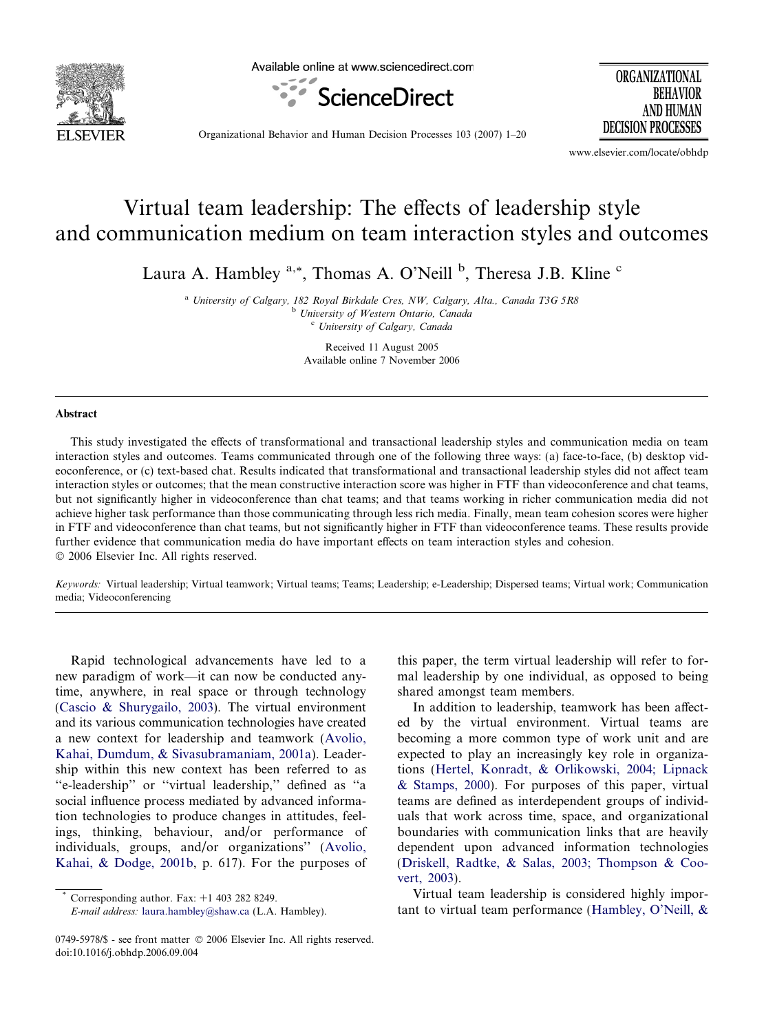

Available online at www.sciencedirect.com



ORGANIZATIONAL **REHAVIOR AND HUMAN DECISION PROCESSES** 

Organizational Behavior and Human Decision Processes 103 (2007) 1–20

www.elsevier.com/locate/obhdp

# Virtual team leadership: The effects of leadership style and communication medium on team interaction styles and outcomes

Laura A. Hambley <sup>a,\*</sup>, Thomas A. O'Neill <sup>b</sup>, Theresa J.B. Kline <sup>c</sup>

<sup>a</sup> University of Calgary, 182 Royal Birkdale Cres, NW, Calgary, Alta., Canada T3G 5R8 <sup>b</sup> University of Western Ontario, Canada <sup>c</sup> University of Calgary, Canada

> Received 11 August 2005 Available online 7 November 2006

#### Abstract

This study investigated the effects of transformational and transactional leadership styles and communication media on team interaction styles and outcomes. Teams communicated through one of the following three ways: (a) face-to-face, (b) desktop videoconference, or (c) text-based chat. Results indicated that transformational and transactional leadership styles did not affect team interaction styles or outcomes; that the mean constructive interaction score was higher in FTF than videoconference and chat teams, but not significantly higher in videoconference than chat teams; and that teams working in richer communication media did not achieve higher task performance than those communicating through less rich media. Finally, mean team cohesion scores were higher in FTF and videoconference than chat teams, but not significantly higher in FTF than videoconference teams. These results provide further evidence that communication media do have important effects on team interaction styles and cohesion.  $© 2006 Elsevier Inc. All rights reserved.$ 

Keywords: Virtual leadership; Virtual teamwork; Virtual teams; Teams; Leadership; e-Leadership; Dispersed teams; Virtual work; Communication media; Videoconferencing

Rapid technological advancements have led to a new paradigm of work—it can now be conducted anytime, anywhere, in real space or through technology ([Cascio & Shurygailo, 2003](#page-17-0)). The virtual environment and its various communication technologies have created a new context for leadership and teamwork ([Avolio,](#page-17-0) [Kahai, Dumdum, & Sivasubramaniam, 2001a\)](#page-17-0). Leadership within this new context has been referred to as ''e-leadership'' or ''virtual leadership,'' defined as ''a social influence process mediated by advanced information technologies to produce changes in attitudes, feelings, thinking, behaviour, and/or performance of individuals, groups, and/or organizations'' ([Avolio,](#page-17-0) [Kahai, & Dodge, 2001b,](#page-17-0) p. 617). For the purposes of this paper, the term virtual leadership will refer to formal leadership by one individual, as opposed to being shared amongst team members.

In addition to leadership, teamwork has been affected by the virtual environment. Virtual teams are becoming a more common type of work unit and are expected to play an increasingly key role in organizations ([Hertel, Konradt, & Orlikowski, 2004; Lipnack](#page-17-0) [& Stamps, 2000\)](#page-17-0). For purposes of this paper, virtual teams are defined as interdependent groups of individuals that work across time, space, and organizational boundaries with communication links that are heavily dependent upon advanced information technologies ([Driskell, Radtke, & Salas, 2003; Thompson & Coo](#page-17-0)[vert, 2003\)](#page-17-0).

Virtual team leadership is considered highly important to virtual team performance ([Hambley, O'Neill, &](#page-17-0)

Corresponding author. Fax:  $+1$  403 282 8249.

E-mail address: [laura.hambley@shaw.ca](mailto:laura.hambley@shaw.ca) (L.A. Hambley).

<sup>0749-5978/\$ -</sup> see front matter © 2006 Elsevier Inc. All rights reserved. doi:10.1016/j.obhdp.2006.09.004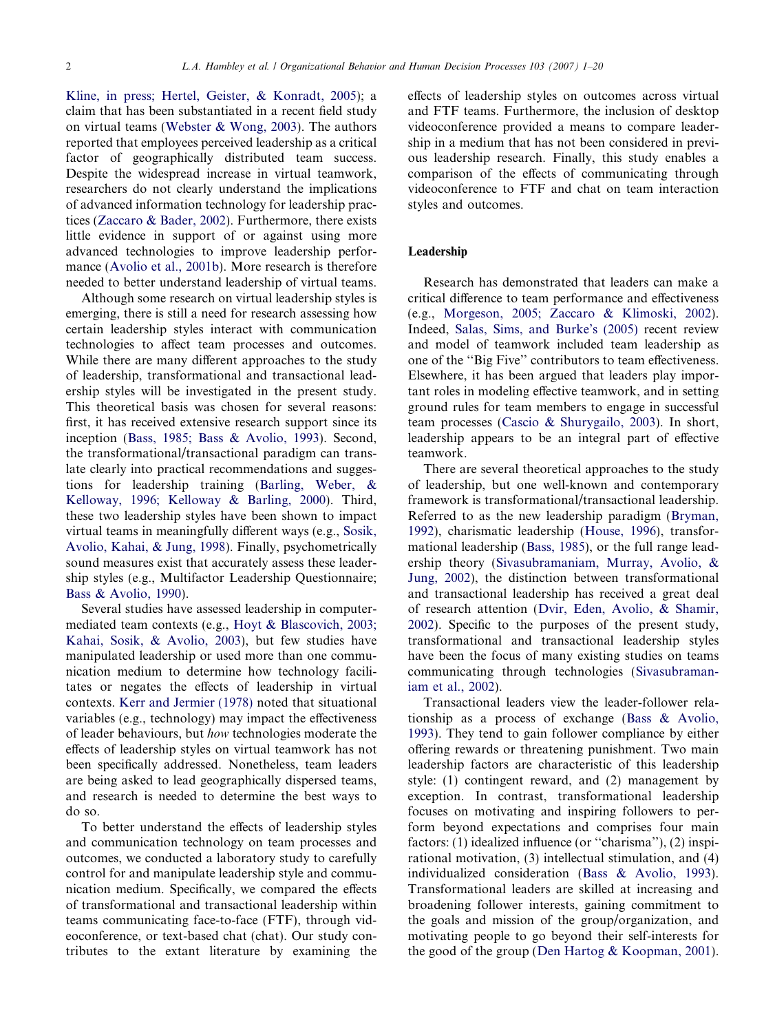[Kline, in press; Hertel, Geister, & Konradt, 2005](#page-17-0)); a claim that has been substantiated in a recent field study on virtual teams [\(Webster & Wong, 2003](#page-19-0)). The authors reported that employees perceived leadership as a critical factor of geographically distributed team success. Despite the widespread increase in virtual teamwork, researchers do not clearly understand the implications of advanced information technology for leadership practices [\(Zaccaro & Bader, 2002\)](#page-19-0). Furthermore, there exists little evidence in support of or against using more advanced technologies to improve leadership performance [\(Avolio et al., 2001b](#page-17-0)). More research is therefore needed to better understand leadership of virtual teams.

Although some research on virtual leadership styles is emerging, there is still a need for research assessing how certain leadership styles interact with communication technologies to affect team processes and outcomes. While there are many different approaches to the study of leadership, transformational and transactional leadership styles will be investigated in the present study. This theoretical basis was chosen for several reasons: first, it has received extensive research support since its inception [\(Bass, 1985; Bass & Avolio, 1993](#page-17-0)). Second, the transformational/transactional paradigm can translate clearly into practical recommendations and suggestions for leadership training ([Barling, Weber, &](#page-17-0) [Kelloway, 1996; Kelloway & Barling, 2000](#page-17-0)). Third, these two leadership styles have been shown to impact virtual teams in meaningfully different ways (e.g., [Sosik,](#page-18-0) [Avolio, Kahai, & Jung, 1998](#page-18-0)). Finally, psychometrically sound measures exist that accurately assess these leadership styles (e.g., Multifactor Leadership Questionnaire; [Bass & Avolio, 1990](#page-17-0)).

Several studies have assessed leadership in computermediated team contexts (e.g., [Hoyt & Blascovich, 2003;](#page-18-0) [Kahai, Sosik, & Avolio, 2003](#page-18-0)), but few studies have manipulated leadership or used more than one communication medium to determine how technology facilitates or negates the effects of leadership in virtual contexts. [Kerr and Jermier \(1978\)](#page-18-0) noted that situational variables (e.g., technology) may impact the effectiveness of leader behaviours, but how technologies moderate the effects of leadership styles on virtual teamwork has not been specifically addressed. Nonetheless, team leaders are being asked to lead geographically dispersed teams, and research is needed to determine the best ways to do so.

To better understand the effects of leadership styles and communication technology on team processes and outcomes, we conducted a laboratory study to carefully control for and manipulate leadership style and communication medium. Specifically, we compared the effects of transformational and transactional leadership within teams communicating face-to-face (FTF), through videoconference, or text-based chat (chat). Our study contributes to the extant literature by examining the effects of leadership styles on outcomes across virtual and FTF teams. Furthermore, the inclusion of desktop videoconference provided a means to compare leadership in a medium that has not been considered in previous leadership research. Finally, this study enables a comparison of the effects of communicating through videoconference to FTF and chat on team interaction styles and outcomes.

#### Leadership

Research has demonstrated that leaders can make a critical difference to team performance and effectiveness (e.g., [Morgeson, 2005; Zaccaro & Klimoski, 2002\)](#page-18-0). Indeed, [Salas, Sims, and Burke's \(2005\)](#page-18-0) recent review and model of teamwork included team leadership as one of the ''Big Five'' contributors to team effectiveness. Elsewhere, it has been argued that leaders play important roles in modeling effective teamwork, and in setting ground rules for team members to engage in successful team processes ([Cascio & Shurygailo, 2003](#page-17-0)). In short, leadership appears to be an integral part of effective teamwork.

There are several theoretical approaches to the study of leadership, but one well-known and contemporary framework is transformational/transactional leadership. Referred to as the new leadership paradigm ([Bryman,](#page-17-0) [1992\)](#page-17-0), charismatic leadership ([House, 1996](#page-17-0)), transformational leadership ([Bass, 1985\)](#page-17-0), or the full range leadership theory [\(Sivasubramaniam, Murray, Avolio, &](#page-18-0) [Jung, 2002\)](#page-18-0), the distinction between transformational and transactional leadership has received a great deal of research attention ([Dvir, Eden, Avolio, & Shamir,](#page-17-0) [2002\)](#page-17-0). Specific to the purposes of the present study, transformational and transactional leadership styles have been the focus of many existing studies on teams communicating through technologies ([Sivasubraman](#page-18-0)[iam et al., 2002](#page-18-0)).

Transactional leaders view the leader-follower relationship as a process of exchange ([Bass & Avolio,](#page-17-0) [1993\)](#page-17-0). They tend to gain follower compliance by either offering rewards or threatening punishment. Two main leadership factors are characteristic of this leadership style: (1) contingent reward, and (2) management by exception. In contrast, transformational leadership focuses on motivating and inspiring followers to perform beyond expectations and comprises four main factors: (1) idealized influence (or ''charisma''), (2) inspirational motivation, (3) intellectual stimulation, and (4) individualized consideration ([Bass & Avolio, 1993\)](#page-17-0). Transformational leaders are skilled at increasing and broadening follower interests, gaining commitment to the goals and mission of the group/organization, and motivating people to go beyond their self-interests for the good of the group ([Den Hartog & Koopman, 2001\)](#page-17-0).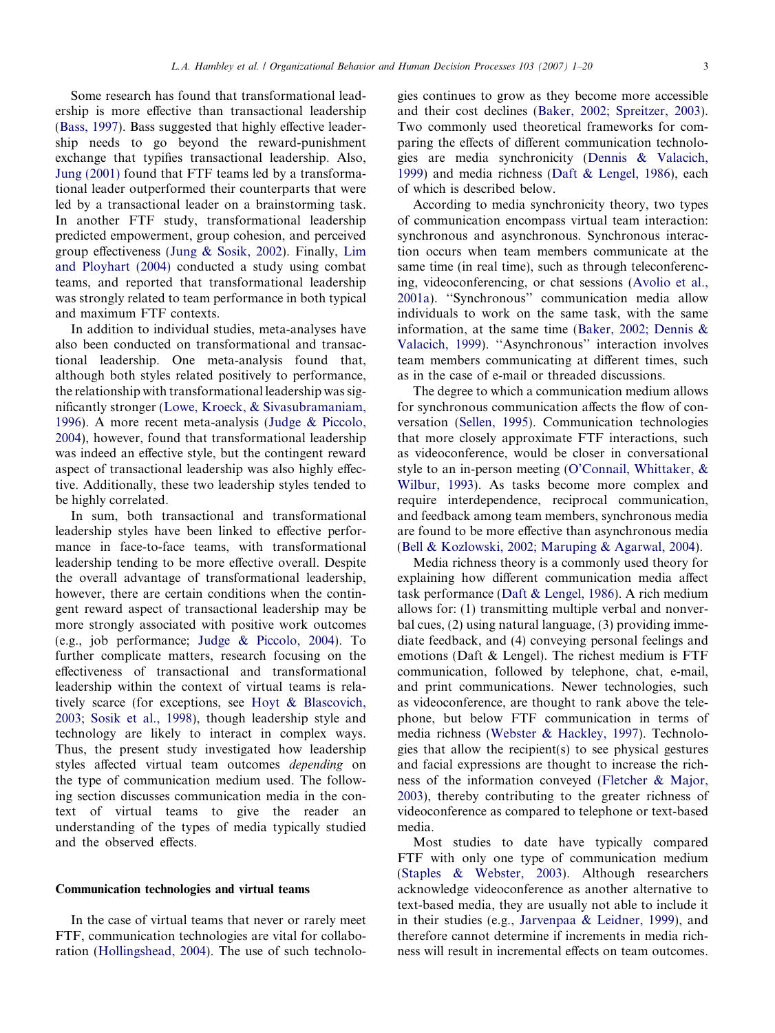Some research has found that transformational leadership is more effective than transactional leadership ([Bass, 1997\)](#page-17-0). Bass suggested that highly effective leadership needs to go beyond the reward-punishment exchange that typifies transactional leadership. Also, [Jung \(2001\)](#page-18-0) found that FTF teams led by a transformational leader outperformed their counterparts that were led by a transactional leader on a brainstorming task. In another FTF study, transformational leadership predicted empowerment, group cohesion, and perceived group effectiveness ([Jung & Sosik, 2002\)](#page-18-0). Finally, [Lim](#page-18-0) [and Ployhart \(2004\)](#page-18-0) conducted a study using combat teams, and reported that transformational leadership was strongly related to team performance in both typical and maximum FTF contexts.

In addition to individual studies, meta-analyses have also been conducted on transformational and transactional leadership. One meta-analysis found that, although both styles related positively to performance, the relationship with transformational leadership was significantly stronger ([Lowe, Kroeck, & Sivasubramaniam,](#page-18-0) [1996](#page-18-0)). A more recent meta-analysis ([Judge & Piccolo,](#page-18-0) [2004](#page-18-0)), however, found that transformational leadership was indeed an effective style, but the contingent reward aspect of transactional leadership was also highly effective. Additionally, these two leadership styles tended to be highly correlated.

In sum, both transactional and transformational leadership styles have been linked to effective performance in face-to-face teams, with transformational leadership tending to be more effective overall. Despite the overall advantage of transformational leadership, however, there are certain conditions when the contingent reward aspect of transactional leadership may be more strongly associated with positive work outcomes (e.g., job performance; [Judge & Piccolo, 2004](#page-18-0)). To further complicate matters, research focusing on the effectiveness of transactional and transformational leadership within the context of virtual teams is relatively scarce (for exceptions, see [Hoyt & Blascovich,](#page-18-0) [2003; Sosik et al., 1998\)](#page-18-0), though leadership style and technology are likely to interact in complex ways. Thus, the present study investigated how leadership styles affected virtual team outcomes depending on the type of communication medium used. The following section discusses communication media in the context of virtual teams to give the reader an understanding of the types of media typically studied and the observed effects.

## Communication technologies and virtual teams

In the case of virtual teams that never or rarely meet FTF, communication technologies are vital for collaboration [\(Hollingshead, 2004](#page-17-0)). The use of such technologies continues to grow as they become more accessible and their cost declines ([Baker, 2002; Spreitzer, 2003\)](#page-17-0). Two commonly used theoretical frameworks for comparing the effects of different communication technologies are media synchronicity ([Dennis & Valacich,](#page-17-0) [1999](#page-17-0)) and media richness [\(Daft & Lengel, 1986](#page-17-0)), each of which is described below.

According to media synchronicity theory, two types of communication encompass virtual team interaction: synchronous and asynchronous. Synchronous interaction occurs when team members communicate at the same time (in real time), such as through teleconferencing, videoconferencing, or chat sessions [\(Avolio et al.,](#page-17-0) [2001a](#page-17-0)). ''Synchronous'' communication media allow individuals to work on the same task, with the same information, at the same time [\(Baker, 2002; Dennis &](#page-17-0) [Valacich, 1999](#page-17-0)). ''Asynchronous'' interaction involves team members communicating at different times, such as in the case of e-mail or threaded discussions.

The degree to which a communication medium allows for synchronous communication affects the flow of conversation [\(Sellen, 1995](#page-18-0)). Communication technologies that more closely approximate FTF interactions, such as videoconference, would be closer in conversational style to an in-person meeting [\(O'Connail, Whittaker, &](#page-18-0) [Wilbur, 1993](#page-18-0)). As tasks become more complex and require interdependence, reciprocal communication, and feedback among team members, synchronous media are found to be more effective than asynchronous media ([Bell & Kozlowski, 2002; Maruping & Agarwal, 2004\)](#page-17-0).

Media richness theory is a commonly used theory for explaining how different communication media affect task performance ([Daft & Lengel, 1986](#page-17-0)). A rich medium allows for: (1) transmitting multiple verbal and nonverbal cues, (2) using natural language, (3) providing immediate feedback, and (4) conveying personal feelings and emotions (Daft & Lengel). The richest medium is FTF communication, followed by telephone, chat, e-mail, and print communications. Newer technologies, such as videoconference, are thought to rank above the telephone, but below FTF communication in terms of media richness [\(Webster & Hackley, 1997\)](#page-19-0). Technologies that allow the recipient(s) to see physical gestures and facial expressions are thought to increase the richness of the information conveyed ([Fletcher & Major,](#page-17-0) [2003](#page-17-0)), thereby contributing to the greater richness of videoconference as compared to telephone or text-based media.

Most studies to date have typically compared FTF with only one type of communication medium ([Staples & Webster, 2003](#page-18-0)). Although researchers acknowledge videoconference as another alternative to text-based media, they are usually not able to include it in their studies (e.g., [Jarvenpaa & Leidner, 1999\)](#page-18-0), and therefore cannot determine if increments in media richness will result in incremental effects on team outcomes.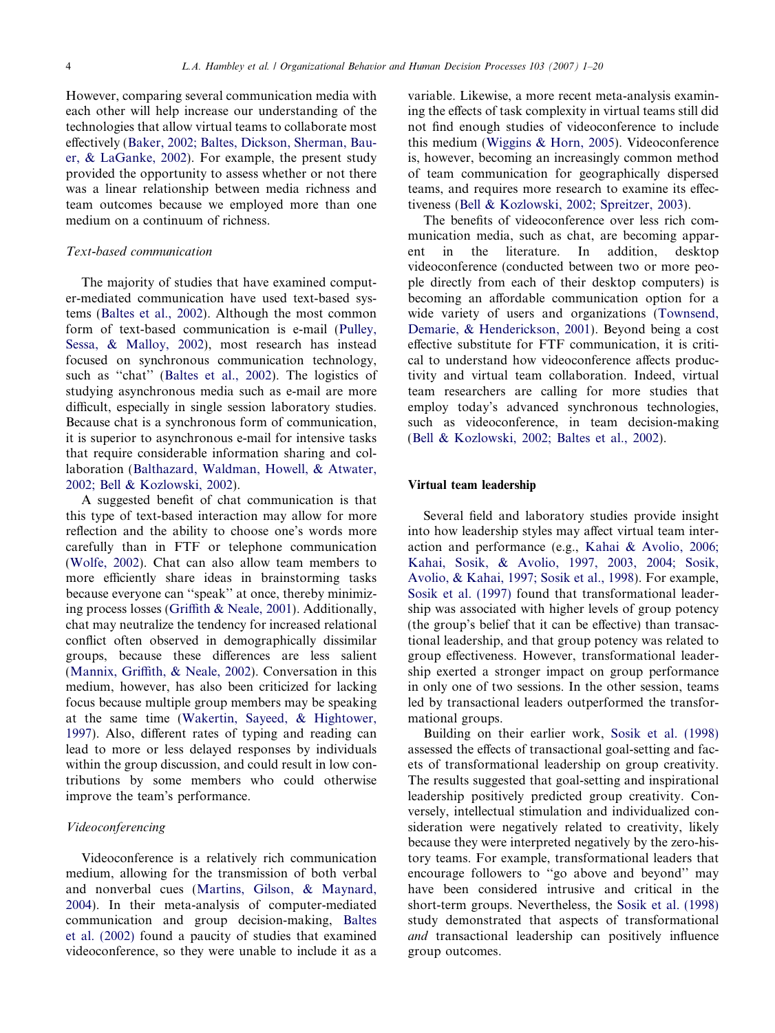However, comparing several communication media with each other will help increase our understanding of the technologies that allow virtual teams to collaborate most effectively [\(Baker, 2002; Baltes, Dickson, Sherman, Bau](#page-17-0)[er, & LaGanke, 2002\)](#page-17-0). For example, the present study provided the opportunity to assess whether or not there was a linear relationship between media richness and team outcomes because we employed more than one medium on a continuum of richness.

# Text-based communication

The majority of studies that have examined computer-mediated communication have used text-based systems ([Baltes et al., 2002\)](#page-17-0). Although the most common form of text-based communication is e-mail ([Pulley,](#page-18-0) [Sessa, & Malloy, 2002\)](#page-18-0), most research has instead focused on synchronous communication technology, such as ''chat'' ([Baltes et al., 2002\)](#page-17-0). The logistics of studying asynchronous media such as e-mail are more difficult, especially in single session laboratory studies. Because chat is a synchronous form of communication, it is superior to asynchronous e-mail for intensive tasks that require considerable information sharing and collaboration [\(Balthazard, Waldman, Howell, & Atwater,](#page-17-0) [2002; Bell & Kozlowski, 2002\)](#page-17-0).

A suggested benefit of chat communication is that this type of text-based interaction may allow for more reflection and the ability to choose one's words more carefully than in FTF or telephone communication ([Wolfe, 2002](#page-19-0)). Chat can also allow team members to more efficiently share ideas in brainstorming tasks because everyone can ''speak'' at once, thereby minimizing process losses [\(Griffith & Neale, 2001\)](#page-17-0). Additionally, chat may neutralize the tendency for increased relational conflict often observed in demographically dissimilar groups, because these differences are less salient ([Mannix, Griffith, & Neale, 2002\)](#page-18-0). Conversation in this medium, however, has also been criticized for lacking focus because multiple group members may be speaking at the same time [\(Wakertin, Sayeed, & Hightower,](#page-19-0) [1997\)](#page-19-0). Also, different rates of typing and reading can lead to more or less delayed responses by individuals within the group discussion, and could result in low contributions by some members who could otherwise improve the team's performance.

## Videoconferencing

Videoconference is a relatively rich communication medium, allowing for the transmission of both verbal and nonverbal cues [\(Martins, Gilson, & Maynard,](#page-18-0) [2004\)](#page-18-0). In their meta-analysis of computer-mediated communication and group decision-making, [Baltes](#page-17-0) [et al. \(2002\)](#page-17-0) found a paucity of studies that examined videoconference, so they were unable to include it as a variable. Likewise, a more recent meta-analysis examining the effects of task complexity in virtual teams still did not find enough studies of videoconference to include this medium ([Wiggins & Horn, 2005](#page-19-0)). Videoconference is, however, becoming an increasingly common method of team communication for geographically dispersed teams, and requires more research to examine its effectiveness [\(Bell & Kozlowski, 2002; Spreitzer, 2003](#page-17-0)).

The benefits of videoconference over less rich communication media, such as chat, are becoming apparent in the literature. In addition, desktop videoconference (conducted between two or more people directly from each of their desktop computers) is becoming an affordable communication option for a wide variety of users and organizations ([Townsend,](#page-19-0) [Demarie, & Henderickson, 2001\)](#page-19-0). Beyond being a cost effective substitute for FTF communication, it is critical to understand how videoconference affects productivity and virtual team collaboration. Indeed, virtual team researchers are calling for more studies that employ today's advanced synchronous technologies, such as videoconference, in team decision-making ([Bell & Kozlowski, 2002; Baltes et al., 2002\)](#page-17-0).

#### Virtual team leadership

Several field and laboratory studies provide insight into how leadership styles may affect virtual team interaction and performance (e.g., [Kahai & Avolio, 2006;](#page-18-0) [Kahai, Sosik, & Avolio, 1997, 2003, 2004; Sosik,](#page-18-0) [Avolio, & Kahai, 1997; Sosik et al., 1998\)](#page-18-0). For example, [Sosik et al. \(1997\)](#page-18-0) found that transformational leadership was associated with higher levels of group potency (the group's belief that it can be effective) than transactional leadership, and that group potency was related to group effectiveness. However, transformational leadership exerted a stronger impact on group performance in only one of two sessions. In the other session, teams led by transactional leaders outperformed the transformational groups.

Building on their earlier work, [Sosik et al. \(1998\)](#page-18-0) assessed the effects of transactional goal-setting and facets of transformational leadership on group creativity. The results suggested that goal-setting and inspirational leadership positively predicted group creativity. Conversely, intellectual stimulation and individualized consideration were negatively related to creativity, likely because they were interpreted negatively by the zero-history teams. For example, transformational leaders that encourage followers to ''go above and beyond'' may have been considered intrusive and critical in the short-term groups. Nevertheless, the [Sosik et al. \(1998\)](#page-18-0) study demonstrated that aspects of transformational and transactional leadership can positively influence group outcomes.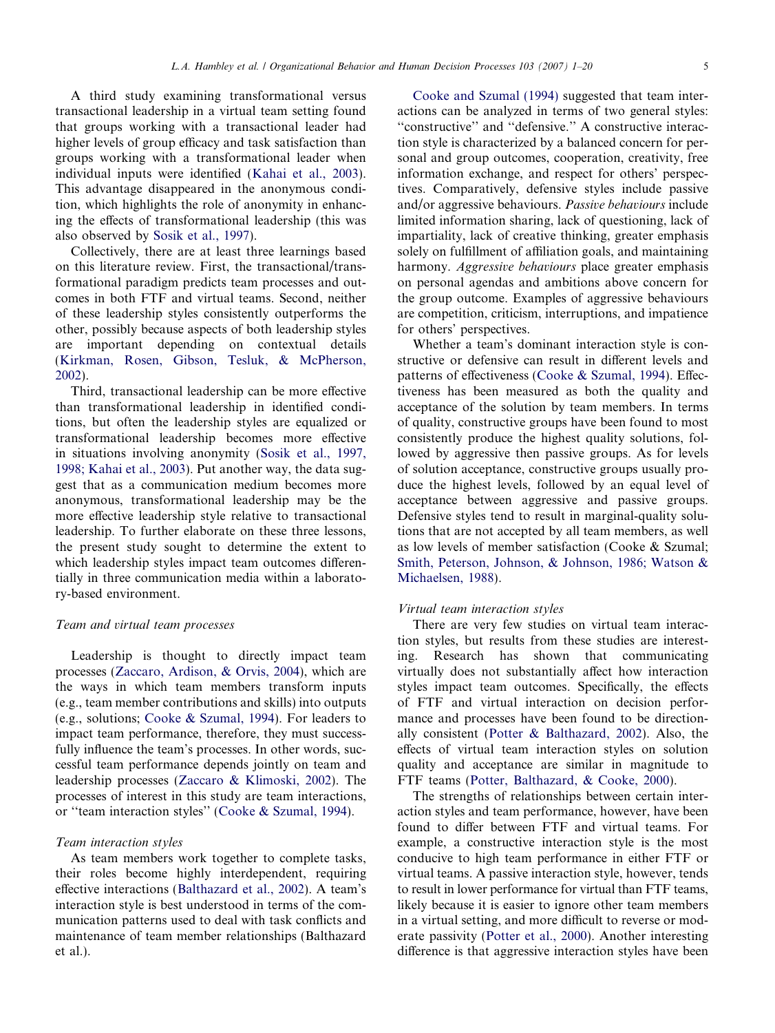A third study examining transformational versus transactional leadership in a virtual team setting found that groups working with a transactional leader had higher levels of group efficacy and task satisfaction than groups working with a transformational leader when individual inputs were identified ([Kahai et al., 2003\)](#page-18-0). This advantage disappeared in the anonymous condition, which highlights the role of anonymity in enhancing the effects of transformational leadership (this was also observed by [Sosik et al., 1997\)](#page-18-0).

Collectively, there are at least three learnings based on this literature review. First, the transactional/transformational paradigm predicts team processes and outcomes in both FTF and virtual teams. Second, neither of these leadership styles consistently outperforms the other, possibly because aspects of both leadership styles are important depending on contextual details ([Kirkman, Rosen, Gibson, Tesluk, & McPherson,](#page-18-0) [2002](#page-18-0)).

Third, transactional leadership can be more effective than transformational leadership in identified conditions, but often the leadership styles are equalized or transformational leadership becomes more effective in situations involving anonymity [\(Sosik et al., 1997,](#page-18-0) [1998; Kahai et al., 2003\)](#page-18-0). Put another way, the data suggest that as a communication medium becomes more anonymous, transformational leadership may be the more effective leadership style relative to transactional leadership. To further elaborate on these three lessons, the present study sought to determine the extent to which leadership styles impact team outcomes differentially in three communication media within a laboratory-based environment.

#### Team and virtual team processes

Leadership is thought to directly impact team processes ([Zaccaro, Ardison, & Orvis, 2004](#page-19-0)), which are the ways in which team members transform inputs (e.g., team member contributions and skills) into outputs (e.g., solutions; [Cooke & Szumal, 1994](#page-17-0)). For leaders to impact team performance, therefore, they must successfully influence the team's processes. In other words, successful team performance depends jointly on team and leadership processes (Zaccaro & Klimoski, 2002). The processes of interest in this study are team interactions, or ''team interaction styles'' [\(Cooke & Szumal, 1994\)](#page-17-0).

#### Team interaction styles

As team members work together to complete tasks, their roles become highly interdependent, requiring effective interactions [\(Balthazard et al., 2002\)](#page-17-0). A team's interaction style is best understood in terms of the communication patterns used to deal with task conflicts and maintenance of team member relationships (Balthazard et al.).

[Cooke and Szumal \(1994\)](#page-17-0) suggested that team interactions can be analyzed in terms of two general styles: ''constructive'' and ''defensive.'' A constructive interaction style is characterized by a balanced concern for personal and group outcomes, cooperation, creativity, free information exchange, and respect for others' perspectives. Comparatively, defensive styles include passive and/or aggressive behaviours. Passive behaviours include limited information sharing, lack of questioning, lack of impartiality, lack of creative thinking, greater emphasis solely on fulfillment of affiliation goals, and maintaining harmony. Aggressive behaviours place greater emphasis on personal agendas and ambitions above concern for the group outcome. Examples of aggressive behaviours are competition, criticism, interruptions, and impatience for others' perspectives.

Whether a team's dominant interaction style is constructive or defensive can result in different levels and patterns of effectiveness ([Cooke & Szumal, 1994](#page-17-0)). Effectiveness has been measured as both the quality and acceptance of the solution by team members. In terms of quality, constructive groups have been found to most consistently produce the highest quality solutions, followed by aggressive then passive groups. As for levels of solution acceptance, constructive groups usually produce the highest levels, followed by an equal level of acceptance between aggressive and passive groups. Defensive styles tend to result in marginal-quality solutions that are not accepted by all team members, as well as low levels of member satisfaction (Cooke & Szumal; [Smith, Peterson, Johnson, & Johnson, 1986; Watson &](#page-18-0) [Michaelsen, 1988\)](#page-18-0).

## Virtual team interaction styles

There are very few studies on virtual team interaction styles, but results from these studies are interesting. Research has shown that communicating virtually does not substantially affect how interaction styles impact team outcomes. Specifically, the effects of FTF and virtual interaction on decision performance and processes have been found to be directionally consistent ([Potter & Balthazard, 2002\)](#page-18-0). Also, the effects of virtual team interaction styles on solution quality and acceptance are similar in magnitude to FTF teams ([Potter, Balthazard, & Cooke, 2000\)](#page-18-0).

The strengths of relationships between certain interaction styles and team performance, however, have been found to differ between FTF and virtual teams. For example, a constructive interaction style is the most conducive to high team performance in either FTF or virtual teams. A passive interaction style, however, tends to result in lower performance for virtual than FTF teams, likely because it is easier to ignore other team members in a virtual setting, and more difficult to reverse or moderate passivity ([Potter et al., 2000](#page-18-0)). Another interesting difference is that aggressive interaction styles have been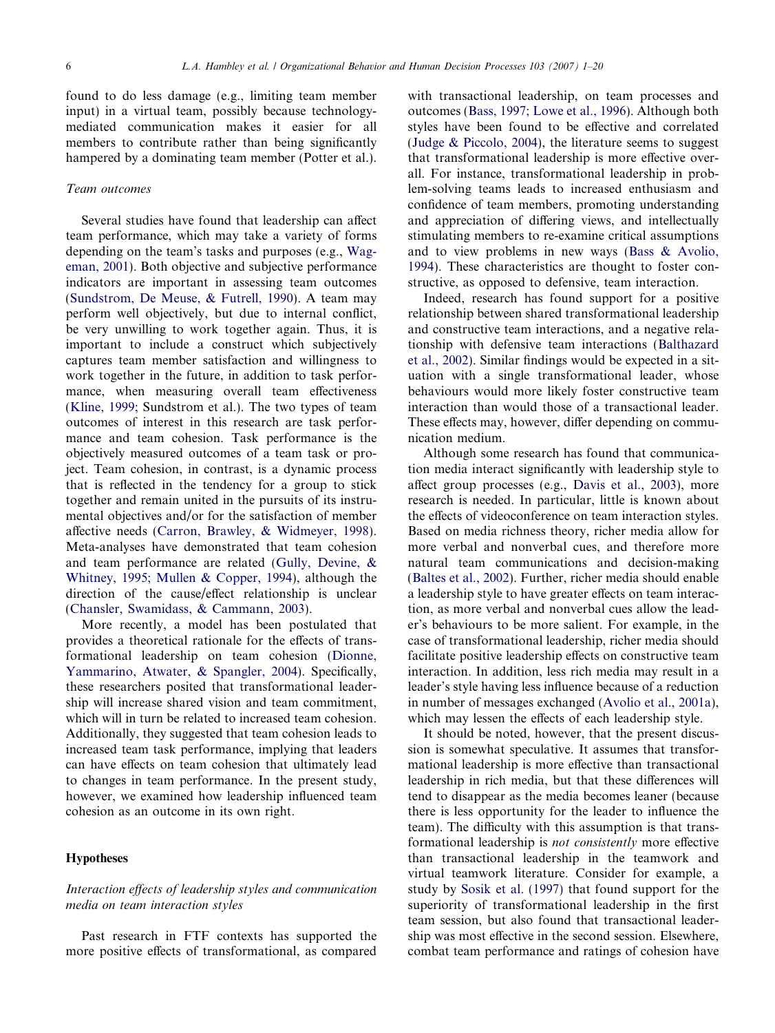found to do less damage (e.g., limiting team member input) in a virtual team, possibly because technologymediated communication makes it easier for all members to contribute rather than being significantly hampered by a dominating team member (Potter et al.).

## Team outcomes

Several studies have found that leadership can affect team performance, which may take a variety of forms depending on the team's tasks and purposes (e.g., [Wag](#page-19-0)[eman, 2001](#page-19-0)). Both objective and subjective performance indicators are important in assessing team outcomes ([Sundstrom, De Meuse, & Futrell, 1990](#page-19-0)). A team may perform well objectively, but due to internal conflict, be very unwilling to work together again. Thus, it is important to include a construct which subjectively captures team member satisfaction and willingness to work together in the future, in addition to task performance, when measuring overall team effectiveness ([Kline, 1999;](#page-18-0) Sundstrom et al.). The two types of team outcomes of interest in this research are task performance and team cohesion. Task performance is the objectively measured outcomes of a team task or project. Team cohesion, in contrast, is a dynamic process that is reflected in the tendency for a group to stick together and remain united in the pursuits of its instrumental objectives and/or for the satisfaction of member affective needs ([Carron, Brawley, & Widmeyer, 1998\)](#page-17-0). Meta-analyses have demonstrated that team cohesion and team performance are related [\(Gully, Devine, &](#page-17-0) [Whitney, 1995; Mullen & Copper, 1994\)](#page-17-0), although the direction of the cause/effect relationship is unclear ([Chansler, Swamidass, & Cammann, 2003](#page-17-0)).

More recently, a model has been postulated that provides a theoretical rationale for the effects of transformational leadership on team cohesion [\(Dionne,](#page-17-0) [Yammarino, Atwater, & Spangler, 2004\)](#page-17-0). Specifically, these researchers posited that transformational leadership will increase shared vision and team commitment, which will in turn be related to increased team cohesion. Additionally, they suggested that team cohesion leads to increased team task performance, implying that leaders can have effects on team cohesion that ultimately lead to changes in team performance. In the present study, however, we examined how leadership influenced team cohesion as an outcome in its own right.

## Hypotheses

# Interaction effects of leadership styles and communication media on team interaction styles

Past research in FTF contexts has supported the more positive effects of transformational, as compared

with transactional leadership, on team processes and outcomes [\(Bass, 1997; Lowe et al., 1996](#page-17-0)). Although both styles have been found to be effective and correlated ([Judge & Piccolo, 2004](#page-18-0)), the literature seems to suggest that transformational leadership is more effective overall. For instance, transformational leadership in problem-solving teams leads to increased enthusiasm and confidence of team members, promoting understanding and appreciation of differing views, and intellectually stimulating members to re-examine critical assumptions and to view problems in new ways [\(Bass & Avolio,](#page-17-0) [1994\)](#page-17-0). These characteristics are thought to foster constructive, as opposed to defensive, team interaction.

Indeed, research has found support for a positive relationship between shared transformational leadership and constructive team interactions, and a negative relationship with defensive team interactions ([Balthazard](#page-17-0) [et al., 2002](#page-17-0)). Similar findings would be expected in a situation with a single transformational leader, whose behaviours would more likely foster constructive team interaction than would those of a transactional leader. These effects may, however, differ depending on communication medium.

Although some research has found that communication media interact significantly with leadership style to affect group processes (e.g., [Davis et al., 2003](#page-17-0)), more research is needed. In particular, little is known about the effects of videoconference on team interaction styles. Based on media richness theory, richer media allow for more verbal and nonverbal cues, and therefore more natural team communications and decision-making ([Baltes et al., 2002](#page-17-0)). Further, richer media should enable a leadership style to have greater effects on team interaction, as more verbal and nonverbal cues allow the leader's behaviours to be more salient. For example, in the case of transformational leadership, richer media should facilitate positive leadership effects on constructive team interaction. In addition, less rich media may result in a leader's style having less influence because of a reduction in number of messages exchanged ([Avolio et al., 2001a\)](#page-17-0), which may lessen the effects of each leadership style.

It should be noted, however, that the present discussion is somewhat speculative. It assumes that transformational leadership is more effective than transactional leadership in rich media, but that these differences will tend to disappear as the media becomes leaner (because there is less opportunity for the leader to influence the team). The difficulty with this assumption is that transformational leadership is not consistently more effective than transactional leadership in the teamwork and virtual teamwork literature. Consider for example, a study by [Sosik et al. \(1997\)](#page-18-0) that found support for the superiority of transformational leadership in the first team session, but also found that transactional leadership was most effective in the second session. Elsewhere, combat team performance and ratings of cohesion have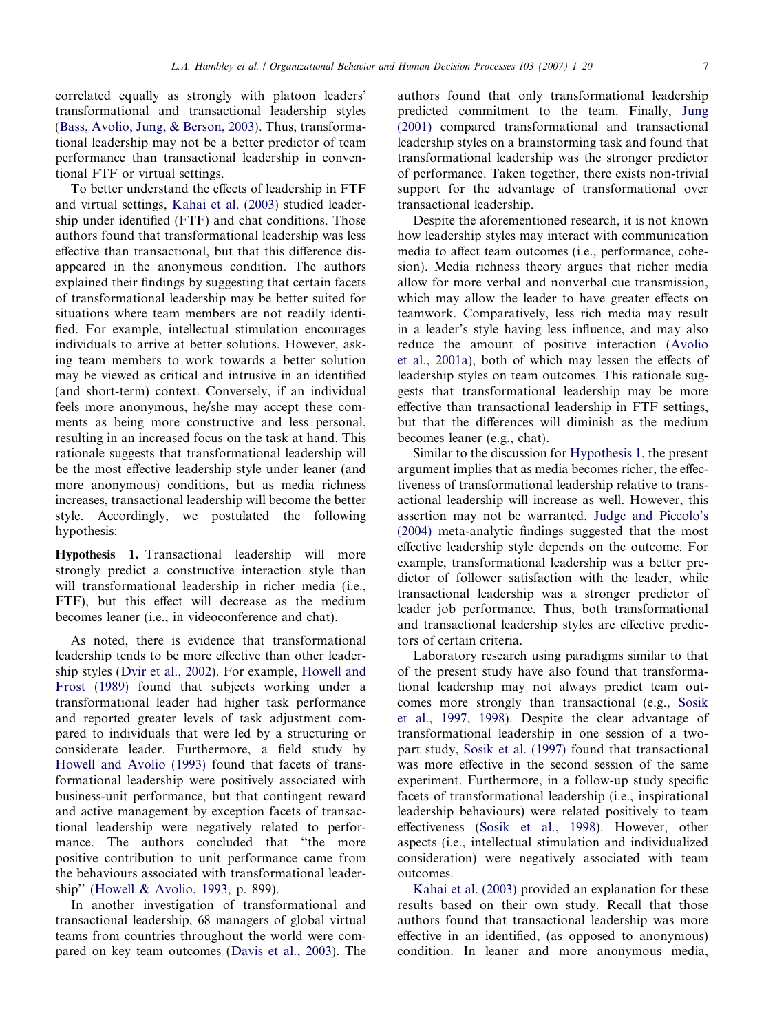<span id="page-6-0"></span>correlated equally as strongly with platoon leaders' transformational and transactional leadership styles ([Bass, Avolio, Jung, & Berson, 2003\)](#page-17-0). Thus, transformational leadership may not be a better predictor of team performance than transactional leadership in conventional FTF or virtual settings.

To better understand the effects of leadership in FTF and virtual settings, [Kahai et al. \(2003\)](#page-18-0) studied leadership under identified (FTF) and chat conditions. Those authors found that transformational leadership was less effective than transactional, but that this difference disappeared in the anonymous condition. The authors explained their findings by suggesting that certain facets of transformational leadership may be better suited for situations where team members are not readily identified. For example, intellectual stimulation encourages individuals to arrive at better solutions. However, asking team members to work towards a better solution may be viewed as critical and intrusive in an identified (and short-term) context. Conversely, if an individual feels more anonymous, he/she may accept these comments as being more constructive and less personal, resulting in an increased focus on the task at hand. This rationale suggests that transformational leadership will be the most effective leadership style under leaner (and more anonymous) conditions, but as media richness increases, transactional leadership will become the better style. Accordingly, we postulated the following hypothesis:

Hypothesis 1. Transactional leadership will more strongly predict a constructive interaction style than will transformational leadership in richer media (i.e., FTF), but this effect will decrease as the medium becomes leaner (i.e., in videoconference and chat).

As noted, there is evidence that transformational leadership tends to be more effective than other leadership styles ([Dvir et al., 2002\)](#page-17-0). For example, [Howell and](#page-18-0) [Frost \(1989\)](#page-18-0) found that subjects working under a transformational leader had higher task performance and reported greater levels of task adjustment compared to individuals that were led by a structuring or considerate leader. Furthermore, a field study by [Howell and Avolio \(1993\)](#page-17-0) found that facets of transformational leadership were positively associated with business-unit performance, but that contingent reward and active management by exception facets of transactional leadership were negatively related to performance. The authors concluded that ''the more positive contribution to unit performance came from the behaviours associated with transformational leadership'' ([Howell & Avolio, 1993,](#page-17-0) p. 899).

In another investigation of transformational and transactional leadership, 68 managers of global virtual teams from countries throughout the world were compared on key team outcomes ([Davis et al., 2003](#page-17-0)). The authors found that only transformational leadership predicted commitment to the team. Finally, [Jung](#page-18-0) [\(2001\)](#page-18-0) compared transformational and transactional leadership styles on a brainstorming task and found that transformational leadership was the stronger predictor of performance. Taken together, there exists non-trivial support for the advantage of transformational over transactional leadership.

Despite the aforementioned research, it is not known how leadership styles may interact with communication media to affect team outcomes (i.e., performance, cohesion). Media richness theory argues that richer media allow for more verbal and nonverbal cue transmission, which may allow the leader to have greater effects on teamwork. Comparatively, less rich media may result in a leader's style having less influence, and may also reduce the amount of positive interaction ([Avolio](#page-17-0) [et al., 2001a\)](#page-17-0), both of which may lessen the effects of leadership styles on team outcomes. This rationale suggests that transformational leadership may be more effective than transactional leadership in FTF settings, but that the differences will diminish as the medium becomes leaner (e.g., chat).

Similar to the discussion for Hypothesis 1, the present argument implies that as media becomes richer, the effectiveness of transformational leadership relative to transactional leadership will increase as well. However, this assertion may not be warranted. [Judge and Piccolo's](#page-18-0) [\(2004\)](#page-18-0) meta-analytic findings suggested that the most effective leadership style depends on the outcome. For example, transformational leadership was a better predictor of follower satisfaction with the leader, while transactional leadership was a stronger predictor of leader job performance. Thus, both transformational and transactional leadership styles are effective predictors of certain criteria.

Laboratory research using paradigms similar to that of the present study have also found that transformational leadership may not always predict team outcomes more strongly than transactional (e.g., [Sosik](#page-18-0) [et al., 1997, 1998](#page-18-0)). Despite the clear advantage of transformational leadership in one session of a twopart study, [Sosik et al. \(1997\)](#page-18-0) found that transactional was more effective in the second session of the same experiment. Furthermore, in a follow-up study specific facets of transformational leadership (i.e., inspirational leadership behaviours) were related positively to team effectiveness ([Sosik et al., 1998](#page-18-0)). However, other aspects (i.e., intellectual stimulation and individualized consideration) were negatively associated with team outcomes.

[Kahai et al. \(2003\)](#page-18-0) provided an explanation for these results based on their own study. Recall that those authors found that transactional leadership was more effective in an identified, (as opposed to anonymous) condition. In leaner and more anonymous media,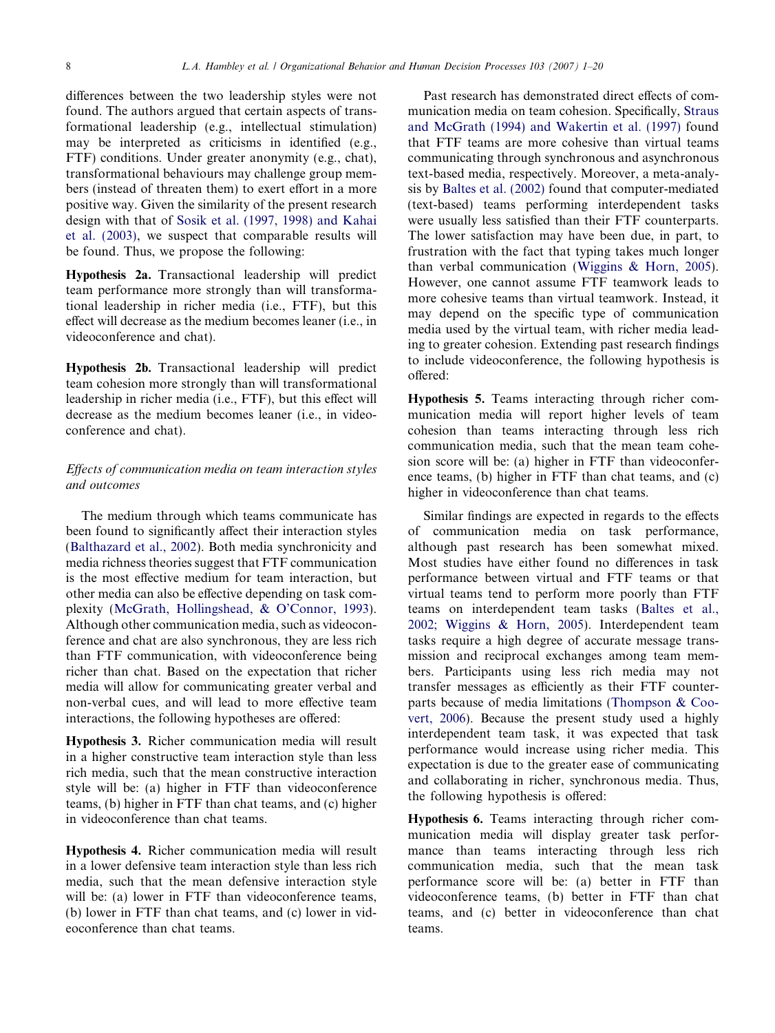<span id="page-7-0"></span>differences between the two leadership styles were not found. The authors argued that certain aspects of transformational leadership (e.g., intellectual stimulation) may be interpreted as criticisms in identified (e.g., FTF) conditions. Under greater anonymity (e.g., chat), transformational behaviours may challenge group members (instead of threaten them) to exert effort in a more positive way. Given the similarity of the present research design with that of [Sosik et al. \(1997, 1998\) and Kahai](#page-18-0) [et al. \(2003\)](#page-18-0), we suspect that comparable results will be found. Thus, we propose the following:

Hypothesis 2a. Transactional leadership will predict team performance more strongly than will transformational leadership in richer media (i.e., FTF), but this effect will decrease as the medium becomes leaner (i.e., in videoconference and chat).

Hypothesis 2b. Transactional leadership will predict team cohesion more strongly than will transformational leadership in richer media (i.e., FTF), but this effect will decrease as the medium becomes leaner (i.e., in videoconference and chat).

# Effects of communication media on team interaction styles and outcomes

The medium through which teams communicate has been found to significantly affect their interaction styles ([Balthazard et al., 2002](#page-17-0)). Both media synchronicity and media richness theories suggest that FTF communication is the most effective medium for team interaction, but other media can also be effective depending on task complexity ([McGrath, Hollingshead, & O'Connor, 1993\)](#page-18-0). Although other communication media, such as videoconference and chat are also synchronous, they are less rich than FTF communication, with videoconference being richer than chat. Based on the expectation that richer media will allow for communicating greater verbal and non-verbal cues, and will lead to more effective team interactions, the following hypotheses are offered:

Hypothesis 3. Richer communication media will result in a higher constructive team interaction style than less rich media, such that the mean constructive interaction style will be: (a) higher in FTF than videoconference teams, (b) higher in FTF than chat teams, and (c) higher in videoconference than chat teams.

Hypothesis 4. Richer communication media will result in a lower defensive team interaction style than less rich media, such that the mean defensive interaction style will be: (a) lower in FTF than videoconference teams, (b) lower in FTF than chat teams, and (c) lower in videoconference than chat teams.

Past research has demonstrated direct effects of communication media on team cohesion. Specifically, [Straus](#page-18-0) [and McGrath \(1994\) and Wakertin et al. \(1997\)](#page-18-0) found that FTF teams are more cohesive than virtual teams communicating through synchronous and asynchronous text-based media, respectively. Moreover, a meta-analysis by [Baltes et al. \(2002\)](#page-17-0) found that computer-mediated (text-based) teams performing interdependent tasks were usually less satisfied than their FTF counterparts. The lower satisfaction may have been due, in part, to frustration with the fact that typing takes much longer than verbal communication ([Wiggins & Horn, 2005\)](#page-19-0). However, one cannot assume FTF teamwork leads to more cohesive teams than virtual teamwork. Instead, it may depend on the specific type of communication media used by the virtual team, with richer media leading to greater cohesion. Extending past research findings to include videoconference, the following hypothesis is offered:

Hypothesis 5. Teams interacting through richer communication media will report higher levels of team cohesion than teams interacting through less rich communication media, such that the mean team cohesion score will be: (a) higher in FTF than videoconference teams, (b) higher in FTF than chat teams, and (c) higher in videoconference than chat teams.

Similar findings are expected in regards to the effects of communication media on task performance, although past research has been somewhat mixed. Most studies have either found no differences in task performance between virtual and FTF teams or that virtual teams tend to perform more poorly than FTF teams on interdependent team tasks ([Baltes et al.,](#page-17-0) [2002; Wiggins & Horn, 2005\)](#page-17-0). Interdependent team tasks require a high degree of accurate message transmission and reciprocal exchanges among team members. Participants using less rich media may not transfer messages as efficiently as their FTF counterparts because of media limitations ([Thompson & Coo](#page-19-0)[vert, 2006](#page-19-0)). Because the present study used a highly interdependent team task, it was expected that task performance would increase using richer media. This expectation is due to the greater ease of communicating and collaborating in richer, synchronous media. Thus, the following hypothesis is offered:

Hypothesis 6. Teams interacting through richer communication media will display greater task performance than teams interacting through less rich communication media, such that the mean task performance score will be: (a) better in FTF than videoconference teams, (b) better in FTF than chat teams, and (c) better in videoconference than chat teams.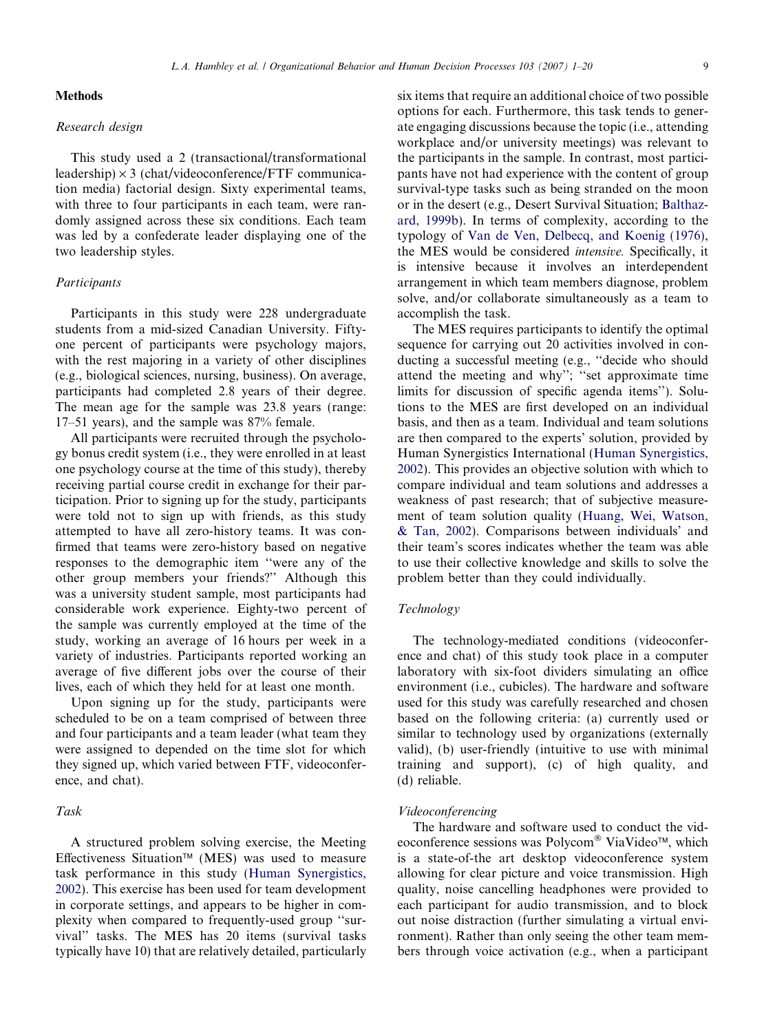## Methods

### Research design

This study used a 2 (transactional/transformational leadership)  $\times$  3 (chat/videoconference/FTF communication media) factorial design. Sixty experimental teams, with three to four participants in each team, were randomly assigned across these six conditions. Each team was led by a confederate leader displaying one of the two leadership styles.

## **Participants**

Participants in this study were 228 undergraduate students from a mid-sized Canadian University. Fiftyone percent of participants were psychology majors, with the rest majoring in a variety of other disciplines (e.g., biological sciences, nursing, business). On average, participants had completed 2.8 years of their degree. The mean age for the sample was 23.8 years (range: 17–51 years), and the sample was 87% female.

All participants were recruited through the psychology bonus credit system (i.e., they were enrolled in at least one psychology course at the time of this study), thereby receiving partial course credit in exchange for their participation. Prior to signing up for the study, participants were told not to sign up with friends, as this study attempted to have all zero-history teams. It was confirmed that teams were zero-history based on negative responses to the demographic item ''were any of the other group members your friends?'' Although this was a university student sample, most participants had considerable work experience. Eighty-two percent of the sample was currently employed at the time of the study, working an average of 16 hours per week in a variety of industries. Participants reported working an average of five different jobs over the course of their lives, each of which they held for at least one month.

Upon signing up for the study, participants were scheduled to be on a team comprised of between three and four participants and a team leader (what team they were assigned to depended on the time slot for which they signed up, which varied between FTF, videoconference, and chat).

## Task

A structured problem solving exercise, the Meeting Effectiveness Situation<sup>™</sup> (MES) was used to measure task performance in this study [\(Human Synergistics,](#page-18-0) [2002](#page-18-0)). This exercise has been used for team development in corporate settings, and appears to be higher in complexity when compared to frequently-used group ''survival'' tasks. The MES has 20 items (survival tasks typically have 10) that are relatively detailed, particularly six items that require an additional choice of two possible options for each. Furthermore, this task tends to generate engaging discussions because the topic (i.e., attending workplace and/or university meetings) was relevant to the participants in the sample. In contrast, most participants have not had experience with the content of group survival-type tasks such as being stranded on the moon or in the desert (e.g., Desert Survival Situation; [Balthaz](#page-17-0)[ard, 1999b\)](#page-17-0). In terms of complexity, according to the typology of [Van de Ven, Delbecq, and Koenig \(1976\),](#page-19-0) the MES would be considered intensive. Specifically, it is intensive because it involves an interdependent arrangement in which team members diagnose, problem solve, and/or collaborate simultaneously as a team to accomplish the task.

The MES requires participants to identify the optimal sequence for carrying out 20 activities involved in conducting a successful meeting (e.g., ''decide who should attend the meeting and why''; ''set approximate time limits for discussion of specific agenda items''). Solutions to the MES are first developed on an individual basis, and then as a team. Individual and team solutions are then compared to the experts' solution, provided by Human Synergistics International [\(Human Synergistics,](#page-18-0) [2002](#page-18-0)). This provides an objective solution with which to compare individual and team solutions and addresses a weakness of past research; that of subjective measurement of team solution quality ([Huang, Wei, Watson,](#page-18-0) [& Tan, 2002\)](#page-18-0). Comparisons between individuals' and their team's scores indicates whether the team was able to use their collective knowledge and skills to solve the problem better than they could individually.

# Technology

The technology-mediated conditions (videoconference and chat) of this study took place in a computer laboratory with six-foot dividers simulating an office environment (i.e., cubicles). The hardware and software used for this study was carefully researched and chosen based on the following criteria: (a) currently used or similar to technology used by organizations (externally valid), (b) user-friendly (intuitive to use with minimal training and support), (c) of high quality, and (d) reliable.

## Videoconferencing

The hardware and software used to conduct the videoconference sessions was Polycom<sup>®</sup> ViaVideo<sup>™</sup>, which is a state-of-the art desktop videoconference system allowing for clear picture and voice transmission. High quality, noise cancelling headphones were provided to each participant for audio transmission, and to block out noise distraction (further simulating a virtual environment). Rather than only seeing the other team members through voice activation (e.g., when a participant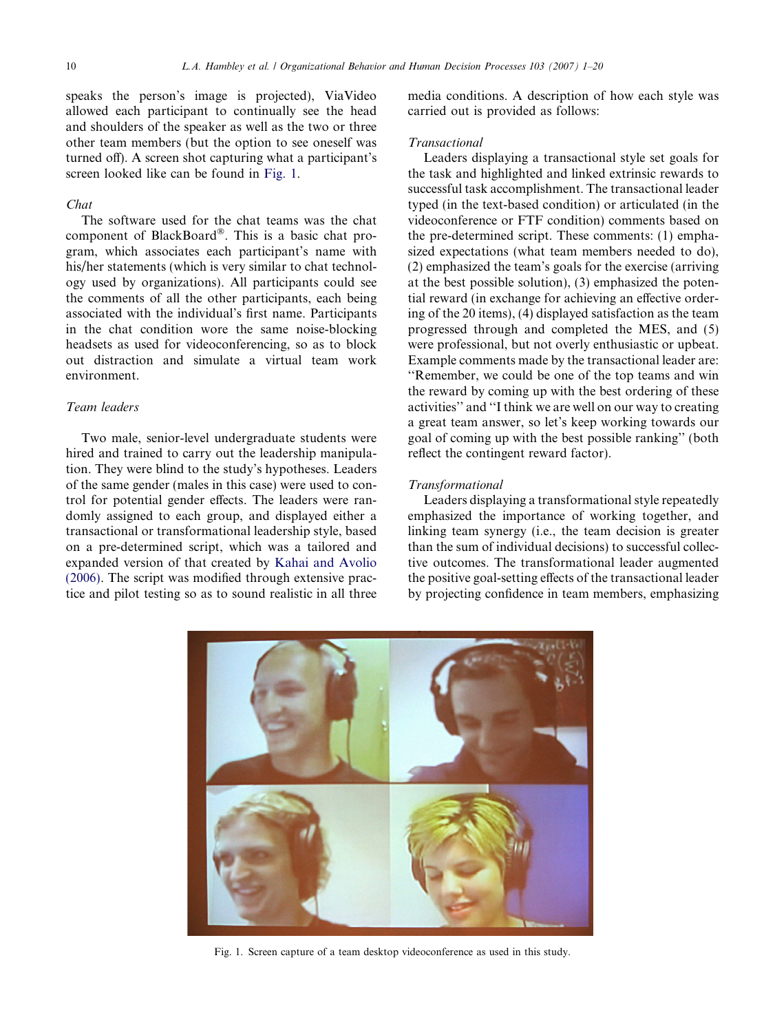speaks the person's image is projected), ViaVideo allowed each participant to continually see the head and shoulders of the speaker as well as the two or three other team members (but the option to see oneself was turned off). A screen shot capturing what a participant's screen looked like can be found in Fig. 1.

# Chat

The software used for the chat teams was the chat component of BlackBoard®. This is a basic chat program, which associates each participant's name with his/her statements (which is very similar to chat technology used by organizations). All participants could see the comments of all the other participants, each being associated with the individual's first name. Participants in the chat condition wore the same noise-blocking headsets as used for videoconferencing, so as to block out distraction and simulate a virtual team work environment.

# Team leaders

Two male, senior-level undergraduate students were hired and trained to carry out the leadership manipulation. They were blind to the study's hypotheses. Leaders of the same gender (males in this case) were used to control for potential gender effects. The leaders were randomly assigned to each group, and displayed either a transactional or transformational leadership style, based on a pre-determined script, which was a tailored and expanded version of that created by [Kahai and Avolio](#page-18-0) [\(2006\)](#page-18-0). The script was modified through extensive practice and pilot testing so as to sound realistic in all three media conditions. A description of how each style was carried out is provided as follows:

#### Transactional

Leaders displaying a transactional style set goals for the task and highlighted and linked extrinsic rewards to successful task accomplishment. The transactional leader typed (in the text-based condition) or articulated (in the videoconference or FTF condition) comments based on the pre-determined script. These comments: (1) emphasized expectations (what team members needed to do), (2) emphasized the team's goals for the exercise (arriving at the best possible solution), (3) emphasized the potential reward (in exchange for achieving an effective ordering of the 20 items), (4) displayed satisfaction as the team progressed through and completed the MES, and (5) were professional, but not overly enthusiastic or upbeat. Example comments made by the transactional leader are: ''Remember, we could be one of the top teams and win the reward by coming up with the best ordering of these activities'' and ''I think we are well on our way to creating a great team answer, so let's keep working towards our goal of coming up with the best possible ranking'' (both reflect the contingent reward factor).

### Transformational

Leaders displaying a transformational style repeatedly emphasized the importance of working together, and linking team synergy (i.e., the team decision is greater than the sum of individual decisions) to successful collective outcomes. The transformational leader augmented the positive goal-setting effects of the transactional leader by projecting confidence in team members, emphasizing



Fig. 1. Screen capture of a team desktop videoconference as used in this study.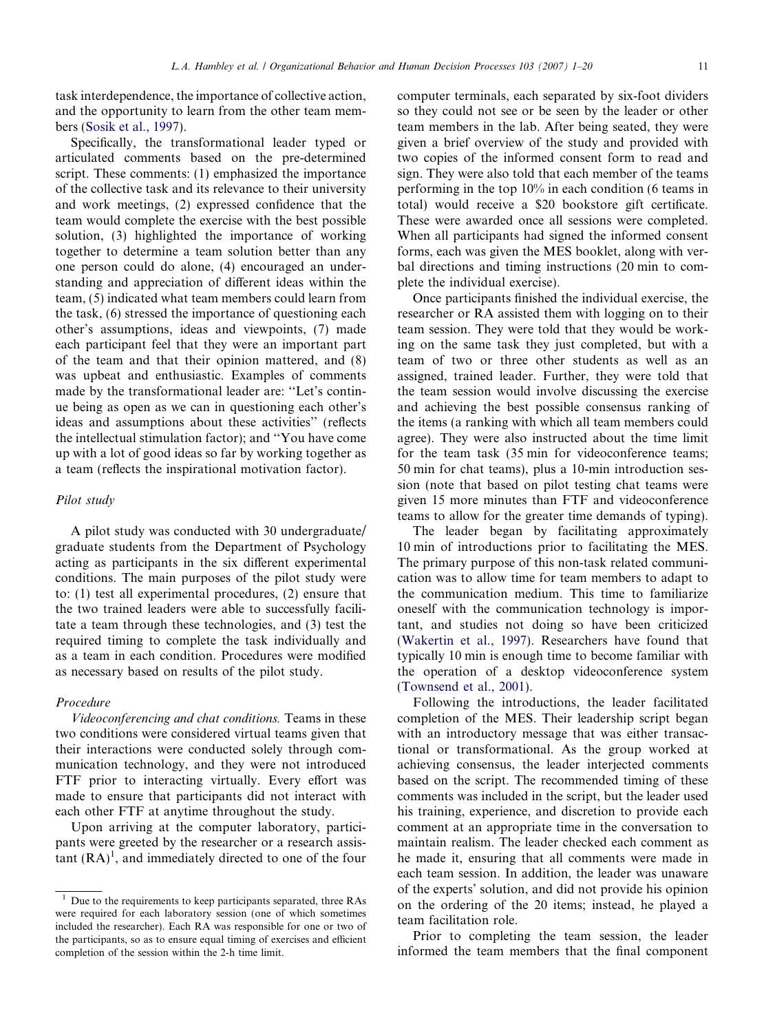task interdependence, the importance of collective action, and the opportunity to learn from the other team members [\(Sosik et al., 1997\)](#page-18-0).

Specifically, the transformational leader typed or articulated comments based on the pre-determined script. These comments: (1) emphasized the importance of the collective task and its relevance to their university and work meetings, (2) expressed confidence that the team would complete the exercise with the best possible solution, (3) highlighted the importance of working together to determine a team solution better than any one person could do alone, (4) encouraged an understanding and appreciation of different ideas within the team, (5) indicated what team members could learn from the task, (6) stressed the importance of questioning each other's assumptions, ideas and viewpoints, (7) made each participant feel that they were an important part of the team and that their opinion mattered, and (8) was upbeat and enthusiastic. Examples of comments made by the transformational leader are: ''Let's continue being as open as we can in questioning each other's ideas and assumptions about these activities'' (reflects the intellectual stimulation factor); and ''You have come up with a lot of good ideas so far by working together as a team (reflects the inspirational motivation factor).

# Pilot study

A pilot study was conducted with 30 undergraduate/ graduate students from the Department of Psychology acting as participants in the six different experimental conditions. The main purposes of the pilot study were to: (1) test all experimental procedures, (2) ensure that the two trained leaders were able to successfully facilitate a team through these technologies, and (3) test the required timing to complete the task individually and as a team in each condition. Procedures were modified as necessary based on results of the pilot study.

# Procedure

Videoconferencing and chat conditions. Teams in these two conditions were considered virtual teams given that their interactions were conducted solely through communication technology, and they were not introduced FTF prior to interacting virtually. Every effort was made to ensure that participants did not interact with each other FTF at anytime throughout the study.

Upon arriving at the computer laboratory, participants were greeted by the researcher or a research assis- $\tanctan$  (RA)<sup>1</sup>, and immediately directed to one of the four

computer terminals, each separated by six-foot dividers so they could not see or be seen by the leader or other team members in the lab. After being seated, they were given a brief overview of the study and provided with two copies of the informed consent form to read and sign. They were also told that each member of the teams performing in the top 10% in each condition (6 teams in total) would receive a \$20 bookstore gift certificate. These were awarded once all sessions were completed. When all participants had signed the informed consent forms, each was given the MES booklet, along with verbal directions and timing instructions (20 min to complete the individual exercise).

Once participants finished the individual exercise, the researcher or RA assisted them with logging on to their team session. They were told that they would be working on the same task they just completed, but with a team of two or three other students as well as an assigned, trained leader. Further, they were told that the team session would involve discussing the exercise and achieving the best possible consensus ranking of the items (a ranking with which all team members could agree). They were also instructed about the time limit for the team task (35 min for videoconference teams; 50 min for chat teams), plus a 10-min introduction session (note that based on pilot testing chat teams were given 15 more minutes than FTF and videoconference teams to allow for the greater time demands of typing).

The leader began by facilitating approximately 10 min of introductions prior to facilitating the MES. The primary purpose of this non-task related communication was to allow time for team members to adapt to the communication medium. This time to familiarize oneself with the communication technology is important, and studies not doing so have been criticized ([Wakertin et al., 1997\)](#page-19-0). Researchers have found that typically 10 min is enough time to become familiar with the operation of a desktop videoconference system ([Townsend et al., 2001\)](#page-19-0).

Following the introductions, the leader facilitated completion of the MES. Their leadership script began with an introductory message that was either transactional or transformational. As the group worked at achieving consensus, the leader interjected comments based on the script. The recommended timing of these comments was included in the script, but the leader used his training, experience, and discretion to provide each comment at an appropriate time in the conversation to maintain realism. The leader checked each comment as he made it, ensuring that all comments were made in each team session. In addition, the leader was unaware of the experts' solution, and did not provide his opinion on the ordering of the 20 items; instead, he played a team facilitation role.

Prior to completing the team session, the leader informed the team members that the final component

<sup>&</sup>lt;sup>1</sup> Due to the requirements to keep participants separated, three RAs were required for each laboratory session (one of which sometimes included the researcher). Each RA was responsible for one or two of the participants, so as to ensure equal timing of exercises and efficient completion of the session within the 2-h time limit.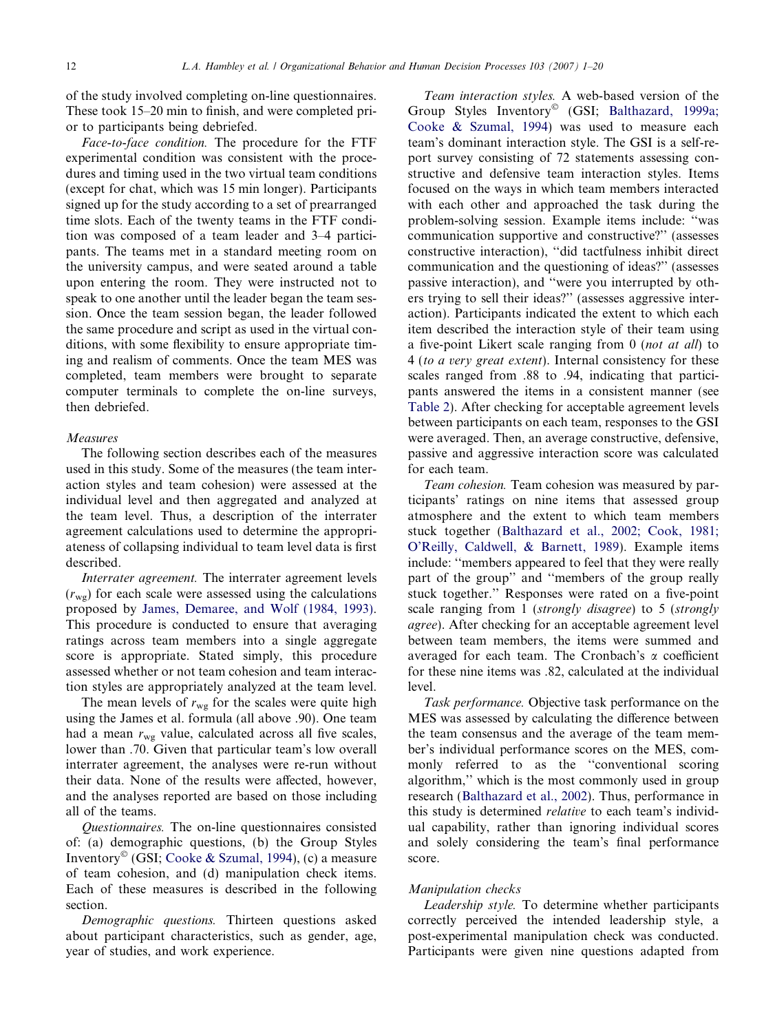of the study involved completing on-line questionnaires. These took 15–20 min to finish, and were completed prior to participants being debriefed.

Face-to-face condition. The procedure for the FTF experimental condition was consistent with the procedures and timing used in the two virtual team conditions (except for chat, which was 15 min longer). Participants signed up for the study according to a set of prearranged time slots. Each of the twenty teams in the FTF condition was composed of a team leader and 3–4 participants. The teams met in a standard meeting room on the university campus, and were seated around a table upon entering the room. They were instructed not to speak to one another until the leader began the team session. Once the team session began, the leader followed the same procedure and script as used in the virtual conditions, with some flexibility to ensure appropriate timing and realism of comments. Once the team MES was completed, team members were brought to separate computer terminals to complete the on-line surveys, then debriefed.

## Measures

The following section describes each of the measures used in this study. Some of the measures (the team interaction styles and team cohesion) were assessed at the individual level and then aggregated and analyzed at the team level. Thus, a description of the interrater agreement calculations used to determine the appropriateness of collapsing individual to team level data is first described.

Interrater agreement. The interrater agreement levels  $(r_{\text{wg}})$  for each scale were assessed using the calculations proposed by [James, Demaree, and Wolf \(1984, 1993\)](#page-18-0). This procedure is conducted to ensure that averaging ratings across team members into a single aggregate score is appropriate. Stated simply, this procedure assessed whether or not team cohesion and team interaction styles are appropriately analyzed at the team level.

The mean levels of  $r_{wg}$  for the scales were quite high using the James et al. formula (all above .90). One team had a mean  $r_{wg}$  value, calculated across all five scales, lower than .70. Given that particular team's low overall interrater agreement, the analyses were re-run without their data. None of the results were affected, however, and the analyses reported are based on those including all of the teams.

Questionnaires. The on-line questionnaires consisted of: (a) demographic questions, (b) the Group Styles Inventory- (GSI; [Cooke & Szumal, 1994\)](#page-17-0), (c) a measure of team cohesion, and (d) manipulation check items. Each of these measures is described in the following section.

Demographic questions. Thirteen questions asked about participant characteristics, such as gender, age, year of studies, and work experience.

Team interaction styles. A web-based version of the Group Styles Inventory<sup>©</sup> (GSI; [Balthazard, 1999a;](#page-17-0) [Cooke & Szumal, 1994](#page-17-0)) was used to measure each team's dominant interaction style. The GSI is a self-report survey consisting of 72 statements assessing constructive and defensive team interaction styles. Items focused on the ways in which team members interacted with each other and approached the task during the problem-solving session. Example items include: ''was communication supportive and constructive?'' (assesses constructive interaction), ''did tactfulness inhibit direct communication and the questioning of ideas?'' (assesses passive interaction), and ''were you interrupted by others trying to sell their ideas?'' (assesses aggressive interaction). Participants indicated the extent to which each item described the interaction style of their team using a five-point Likert scale ranging from 0 (not at all) to 4 (to a very great extent). Internal consistency for these scales ranged from .88 to .94, indicating that participants answered the items in a consistent manner (see [Table 2\)](#page-12-0). After checking for acceptable agreement levels between participants on each team, responses to the GSI were averaged. Then, an average constructive, defensive, passive and aggressive interaction score was calculated for each team.

Team cohesion. Team cohesion was measured by participants' ratings on nine items that assessed group atmosphere and the extent to which team members stuck together ([Balthazard et al., 2002; Cook, 1981;](#page-17-0) [O'Reilly, Caldwell, & Barnett, 1989\)](#page-17-0). Example items include: ''members appeared to feel that they were really part of the group'' and ''members of the group really stuck together.'' Responses were rated on a five-point scale ranging from 1 (strongly disagree) to 5 (strongly agree). After checking for an acceptable agreement level between team members, the items were summed and averaged for each team. The Cronbach's  $\alpha$  coefficient for these nine items was .82, calculated at the individual level.

Task performance. Objective task performance on the MES was assessed by calculating the difference between the team consensus and the average of the team member's individual performance scores on the MES, commonly referred to as the ''conventional scoring algorithm,'' which is the most commonly used in group research [\(Balthazard et al., 2002\)](#page-17-0). Thus, performance in this study is determined relative to each team's individual capability, rather than ignoring individual scores and solely considering the team's final performance score.

# Manipulation checks

Leadership style. To determine whether participants correctly perceived the intended leadership style, a post-experimental manipulation check was conducted. Participants were given nine questions adapted from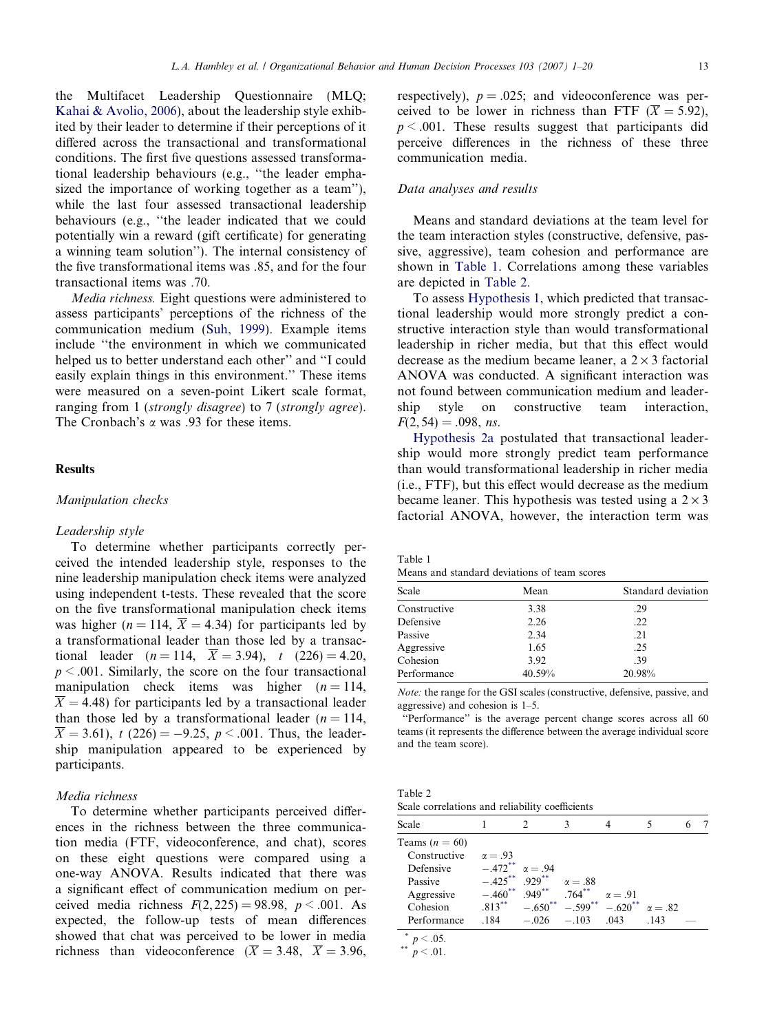<span id="page-12-0"></span>the Multifacet Leadership Questionnaire (MLQ; [Kahai & Avolio, 2006\)](#page-18-0), about the leadership style exhibited by their leader to determine if their perceptions of it differed across the transactional and transformational conditions. The first five questions assessed transformational leadership behaviours (e.g., ''the leader emphasized the importance of working together as a team''), while the last four assessed transactional leadership behaviours (e.g., ''the leader indicated that we could potentially win a reward (gift certificate) for generating a winning team solution''). The internal consistency of the five transformational items was .85, and for the four transactional items was .70.

Media richness. Eight questions were administered to assess participants' perceptions of the richness of the communication medium ([Suh, 1999\)](#page-18-0). Example items include ''the environment in which we communicated helped us to better understand each other'' and ''I could easily explain things in this environment.'' These items were measured on a seven-point Likert scale format, ranging from 1 (strongly disagree) to 7 (strongly agree). The Cronbach's  $\alpha$  was .93 for these items.

# **Results**

# Manipulation checks

## Leadership style

To determine whether participants correctly perceived the intended leadership style, responses to the nine leadership manipulation check items were analyzed using independent t-tests. These revealed that the score on the five transformational manipulation check items was higher ( $n = 114$ ,  $\overline{X} = 4.34$ ) for participants led by a transformational leader than those led by a transactional leader  $(n = 114, \overline{X} = 3.94), t (226) = 4.20,$  $p < .001$ . Similarly, the score on the four transactional manipulation check items was higher  $(n = 114,$  $\overline{X}$  = 4.48) for participants led by a transactional leader than those led by a transformational leader  $(n = 114,$  $\overline{X} = 3.61$ , t (226) = -9.25, p < .001. Thus, the leadership manipulation appeared to be experienced by participants.

## Media richness

To determine whether participants perceived differences in the richness between the three communication media (FTF, videoconference, and chat), scores on these eight questions were compared using a one-way ANOVA. Results indicated that there was a significant effect of communication medium on perceived media richness  $F(2, 225) = 98.98$ ,  $p < .001$ . As expected, the follow-up tests of mean differences showed that chat was perceived to be lower in media richness than videoconference ( $\overline{X}$  = 3.48,  $\overline{X}$  = 3.96, respectively),  $p = .025$ ; and videoconference was perceived to be lower in richness than FTF ( $\overline{X} = 5.92$ ),  $p \leq 0.001$ . These results suggest that participants did perceive differences in the richness of these three communication media.

# Data analyses and results

Means and standard deviations at the team level for the team interaction styles (constructive, defensive, passive, aggressive), team cohesion and performance are shown in Table 1. Correlations among these variables are depicted in Table 2.

To assess [Hypothesis 1](#page-6-0), which predicted that transactional leadership would more strongly predict a constructive interaction style than would transformational leadership in richer media, but that this effect would decrease as the medium became leaner, a  $2 \times 3$  factorial ANOVA was conducted. A significant interaction was not found between communication medium and leadership style on constructive team interaction,  $F(2, 54) = .098$ , ns.

[Hypothesis 2a](#page-7-0) postulated that transactional leadership would more strongly predict team performance than would transformational leadership in richer media (i.e., FTF), but this effect would decrease as the medium became leaner. This hypothesis was tested using a  $2 \times 3$ factorial ANOVA, however, the interaction term was

Table 1 Means and standard deviations of team scores

| Scale        | Mean   | Standard deviation |  |  |
|--------------|--------|--------------------|--|--|
| Constructive | 3.38   | .29                |  |  |
| Defensive    | 2.26   | .22                |  |  |
| Passive      | 2.34   | .21                |  |  |
| Aggressive   | 1.65   | .25                |  |  |
| Cohesion     | 3.92   | .39                |  |  |
| Performance  | 40.59% | 20.98%             |  |  |

Note: the range for the GSI scales (constructive, defensive, passive, and aggressive) and cohesion is 1–5.

"Performance" is the average percent change scores across all 60 teams (it represents the difference between the average individual score and the team score).

Table 2 Scale correlations and reliability coefficients

| Scale            |                |                                                                         |                |                                                   |      |  |
|------------------|----------------|-------------------------------------------------------------------------|----------------|---------------------------------------------------|------|--|
| Teams $(n = 60)$ |                |                                                                         |                |                                                   |      |  |
| Constructive     | $\alpha = .93$ |                                                                         |                |                                                   |      |  |
| Defensive        |                | $-472^{**}$ $\alpha = 94$                                               |                |                                                   |      |  |
| Passive          |                | $-425^{**}$ .929 <sup>**</sup> $\alpha = .88$                           |                |                                                   |      |  |
| Aggressive       |                | $-.460^{\ast\ast}$ .949 <sup>**</sup> .764 <sup>**</sup> $\alpha = .91$ |                |                                                   |      |  |
| Cohesion         | $.813***$      |                                                                         |                | $-650^{**}$ $-599^{**}$ $-620^{**}$ $\alpha = 82$ |      |  |
| Performance      | .184           |                                                                         | $-.026 - .103$ | .043                                              | .143 |  |
| $\ast$           |                |                                                                         |                |                                                   |      |  |

\*\*  $p < .01$ .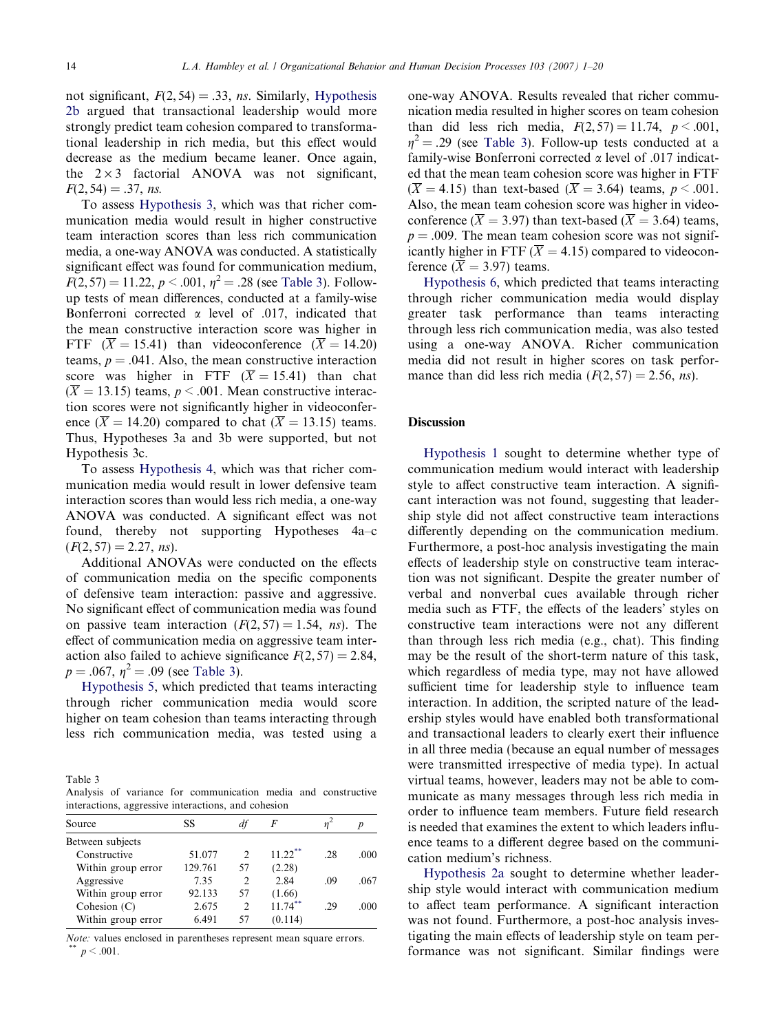not significant,  $F(2, 54) = .33$ , *ns.* Similarly, [Hypothesis](#page-7-0) [2b](#page-7-0) argued that transactional leadership would more strongly predict team cohesion compared to transformational leadership in rich media, but this effect would decrease as the medium became leaner. Once again, the  $2 \times 3$  factorial ANOVA was not significant,  $F(2, 54) = .37$ , ns.

To assess [Hypothesis 3,](#page-7-0) which was that richer communication media would result in higher constructive team interaction scores than less rich communication media, a one-way ANOVA was conducted. A statistically significant effect was found for communication medium,  $F(2, 57) = 11.22, p < .001, \eta^2 = .28$  (see Table 3). Followup tests of mean differences, conducted at a family-wise Bonferroni corrected  $\alpha$  level of .017, indicated that the mean constructive interaction score was higher in FTF ( $\overline{X}$  = 15.41) than videoconference ( $\overline{X}$  = 14.20) teams,  $p = .041$ . Also, the mean constructive interaction score was higher in FTF ( $\overline{X}$  = 15.41) than chat  $(\overline{X} = 13.15)$  teams,  $p < .001$ . Mean constructive interaction scores were not significantly higher in videoconference ( $\overline{X}$  = 14.20) compared to chat ( $\overline{X}$  = 13.15) teams. Thus, Hypotheses 3a and 3b were supported, but not Hypothesis 3c.

To assess [Hypothesis 4,](#page-7-0) which was that richer communication media would result in lower defensive team interaction scores than would less rich media, a one-way ANOVA was conducted. A significant effect was not found, thereby not supporting Hypotheses 4a–c  $(F(2, 57) = 2.27, ns).$ 

Additional ANOVAs were conducted on the effects of communication media on the specific components of defensive team interaction: passive and aggressive. No significant effect of communication media was found on passive team interaction  $(F(2, 57) = 1.54, ns)$ . The effect of communication media on aggressive team interaction also failed to achieve significance  $F(2, 57) = 2.84$ ,  $p = .067$ ,  $\eta^2 = .09$  (see Table 3).

[Hypothesis 5,](#page-7-0) which predicted that teams interacting through richer communication media would score higher on team cohesion than teams interacting through less rich communication media, was tested using a

Table 3 Analysis of variance for communication media and constructive interactions, aggressive interactions, and cohesion

| Source             | SS      | df | F          |     | p    |
|--------------------|---------|----|------------|-----|------|
| Between subjects   |         |    |            |     |      |
| Constructive       | 51.077  |    | $11.22***$ | .28 | .000 |
| Within group error | 129.761 | 57 | (2.28)     |     |      |
| Aggressive         | 7.35    | 2  | 2.84       | .09 | .067 |
| Within group error | 92.133  | 57 | (1.66)     |     |      |
| Cohesion $(C)$     | 2.675   |    | $11.74$ ** | 29  | .000 |
| Within group error | 6.491   | 57 | (0.114)    |     |      |

Note: values enclosed in parentheses represent mean square errors.  $p < .001$ .

one-way ANOVA. Results revealed that richer communication media resulted in higher scores on team cohesion than did less rich media,  $F(2, 57) = 11.74$ ,  $p < .001$ ,  $\eta^2$  = .29 (see Table 3). Follow-up tests conducted at a family-wise Bonferroni corrected  $\alpha$  level of .017 indicated that the mean team cohesion score was higher in FTF  $(\overline{X} = 4.15)$  than text-based  $(\overline{X} = 3.64)$  teams,  $p \le 0.001$ . Also, the mean team cohesion score was higher in videoconference ( $\overline{X}$  = 3.97) than text-based ( $\overline{X}$  = 3.64) teams,  $p = .009$ . The mean team cohesion score was not significantly higher in FTF ( $\overline{X}$  = 4.15) compared to videoconference ( $\overline{X}$  = 3.97) teams.

[Hypothesis 6,](#page-7-0) which predicted that teams interacting through richer communication media would display greater task performance than teams interacting through less rich communication media, was also tested using a one-way ANOVA. Richer communication media did not result in higher scores on task performance than did less rich media ( $F(2, 57) = 2.56$ , ns).

# **Discussion**

[Hypothesis 1](#page-6-0) sought to determine whether type of communication medium would interact with leadership style to affect constructive team interaction. A significant interaction was not found, suggesting that leadership style did not affect constructive team interactions differently depending on the communication medium. Furthermore, a post-hoc analysis investigating the main effects of leadership style on constructive team interaction was not significant. Despite the greater number of verbal and nonverbal cues available through richer media such as FTF, the effects of the leaders' styles on constructive team interactions were not any different than through less rich media (e.g., chat). This finding may be the result of the short-term nature of this task, which regardless of media type, may not have allowed sufficient time for leadership style to influence team interaction. In addition, the scripted nature of the leadership styles would have enabled both transformational and transactional leaders to clearly exert their influence in all three media (because an equal number of messages were transmitted irrespective of media type). In actual virtual teams, however, leaders may not be able to communicate as many messages through less rich media in order to influence team members. Future field research is needed that examines the extent to which leaders influence teams to a different degree based on the communication medium's richness.

[Hypothesis 2a](#page-7-0) sought to determine whether leadership style would interact with communication medium to affect team performance. A significant interaction was not found. Furthermore, a post-hoc analysis investigating the main effects of leadership style on team performance was not significant. Similar findings were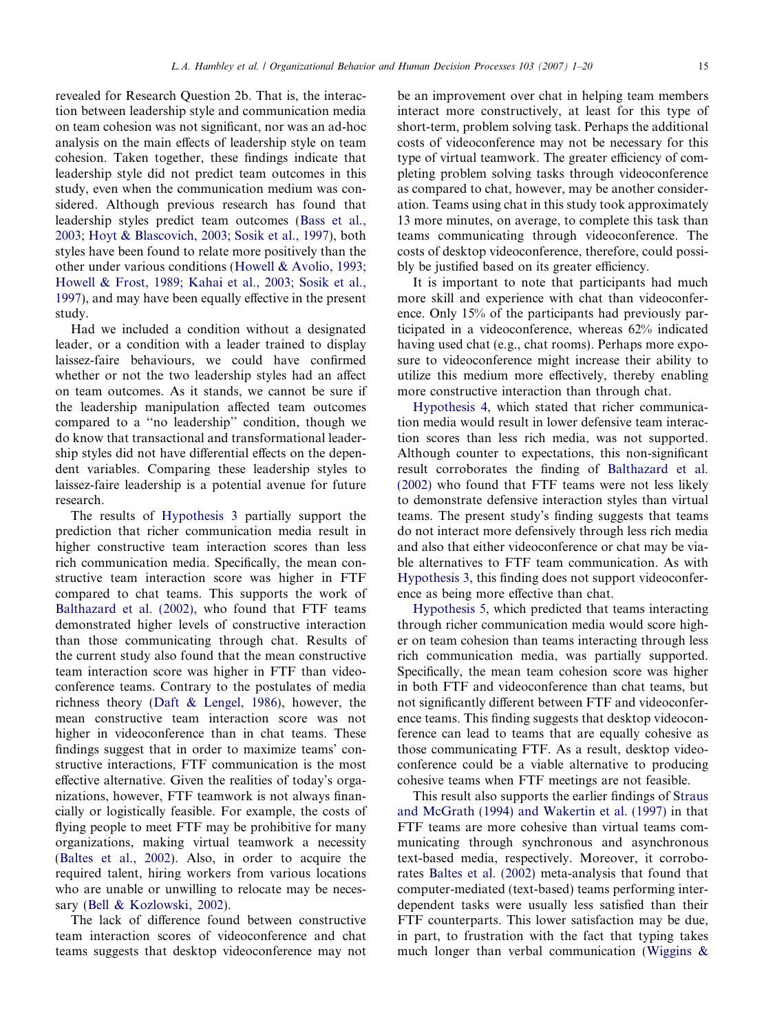revealed for Research Question 2b. That is, the interaction between leadership style and communication media on team cohesion was not significant, nor was an ad-hoc analysis on the main effects of leadership style on team cohesion. Taken together, these findings indicate that leadership style did not predict team outcomes in this study, even when the communication medium was considered. Although previous research has found that leadership styles predict team outcomes ([Bass et al.,](#page-17-0) [2003; Hoyt & Blascovich, 2003; Sosik et al., 1997\)](#page-17-0), both styles have been found to relate more positively than the other under various conditions [\(Howell & Avolio, 1993;](#page-17-0) [Howell & Frost, 1989; Kahai et al., 2003; Sosik et al.,](#page-17-0) [1997](#page-17-0)), and may have been equally effective in the present study.

Had we included a condition without a designated leader, or a condition with a leader trained to display laissez-faire behaviours, we could have confirmed whether or not the two leadership styles had an affect on team outcomes. As it stands, we cannot be sure if the leadership manipulation affected team outcomes compared to a ''no leadership'' condition, though we do know that transactional and transformational leadership styles did not have differential effects on the dependent variables. Comparing these leadership styles to laissez-faire leadership is a potential avenue for future research.

The results of [Hypothesis 3](#page-7-0) partially support the prediction that richer communication media result in higher constructive team interaction scores than less rich communication media. Specifically, the mean constructive team interaction score was higher in FTF compared to chat teams. This supports the work of [Balthazard et al. \(2002\),](#page-17-0) who found that FTF teams demonstrated higher levels of constructive interaction than those communicating through chat. Results of the current study also found that the mean constructive team interaction score was higher in FTF than videoconference teams. Contrary to the postulates of media richness theory [\(Daft & Lengel, 1986](#page-17-0)), however, the mean constructive team interaction score was not higher in videoconference than in chat teams. These findings suggest that in order to maximize teams' constructive interactions, FTF communication is the most effective alternative. Given the realities of today's organizations, however, FTF teamwork is not always financially or logistically feasible. For example, the costs of flying people to meet FTF may be prohibitive for many organizations, making virtual teamwork a necessity ([Baltes et al., 2002](#page-17-0)). Also, in order to acquire the required talent, hiring workers from various locations who are unable or unwilling to relocate may be necessary ([Bell & Kozlowski, 2002\)](#page-17-0).

The lack of difference found between constructive team interaction scores of videoconference and chat teams suggests that desktop videoconference may not be an improvement over chat in helping team members interact more constructively, at least for this type of short-term, problem solving task. Perhaps the additional costs of videoconference may not be necessary for this type of virtual teamwork. The greater efficiency of completing problem solving tasks through videoconference as compared to chat, however, may be another consideration. Teams using chat in this study took approximately 13 more minutes, on average, to complete this task than teams communicating through videoconference. The costs of desktop videoconference, therefore, could possibly be justified based on its greater efficiency.

It is important to note that participants had much more skill and experience with chat than videoconference. Only 15% of the participants had previously participated in a videoconference, whereas 62% indicated having used chat (e.g., chat rooms). Perhaps more exposure to videoconference might increase their ability to utilize this medium more effectively, thereby enabling more constructive interaction than through chat.

[Hypothesis 4,](#page-7-0) which stated that richer communication media would result in lower defensive team interaction scores than less rich media, was not supported. Although counter to expectations, this non-significant result corroborates the finding of [Balthazard et al.](#page-17-0) [\(2002\)](#page-17-0) who found that FTF teams were not less likely to demonstrate defensive interaction styles than virtual teams. The present study's finding suggests that teams do not interact more defensively through less rich media and also that either videoconference or chat may be viable alternatives to FTF team communication. As with [Hypothesis 3,](#page-7-0) this finding does not support videoconference as being more effective than chat.

[Hypothesis 5,](#page-7-0) which predicted that teams interacting through richer communication media would score higher on team cohesion than teams interacting through less rich communication media, was partially supported. Specifically, the mean team cohesion score was higher in both FTF and videoconference than chat teams, but not significantly different between FTF and videoconference teams. This finding suggests that desktop videoconference can lead to teams that are equally cohesive as those communicating FTF. As a result, desktop videoconference could be a viable alternative to producing cohesive teams when FTF meetings are not feasible.

This result also supports the earlier findings of [Straus](#page-18-0) [and McGrath \(1994\) and Wakertin et al. \(1997\)](#page-18-0) in that FTF teams are more cohesive than virtual teams communicating through synchronous and asynchronous text-based media, respectively. Moreover, it corroborates [Baltes et al. \(2002\)](#page-17-0) meta-analysis that found that computer-mediated (text-based) teams performing interdependent tasks were usually less satisfied than their FTF counterparts. This lower satisfaction may be due, in part, to frustration with the fact that typing takes much longer than verbal communication [\(Wiggins &](#page-19-0)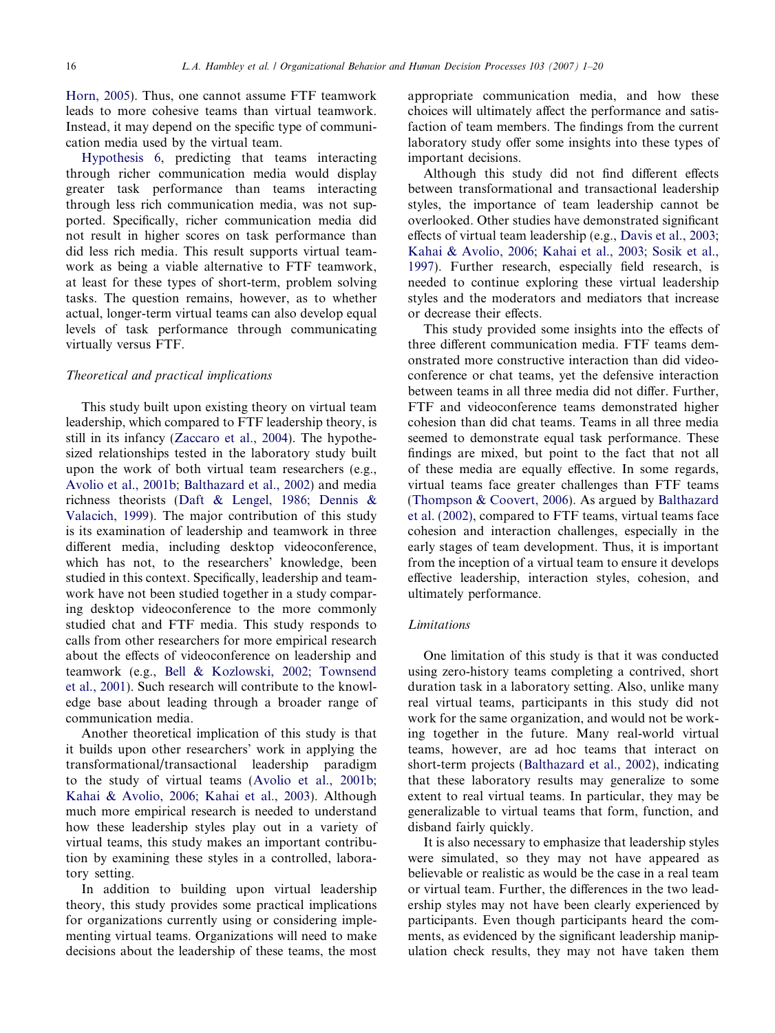[Horn, 2005\)](#page-19-0). Thus, one cannot assume FTF teamwork leads to more cohesive teams than virtual teamwork. Instead, it may depend on the specific type of communication media used by the virtual team.

[Hypothesis 6,](#page-7-0) predicting that teams interacting through richer communication media would display greater task performance than teams interacting through less rich communication media, was not supported. Specifically, richer communication media did not result in higher scores on task performance than did less rich media. This result supports virtual teamwork as being a viable alternative to FTF teamwork, at least for these types of short-term, problem solving tasks. The question remains, however, as to whether actual, longer-term virtual teams can also develop equal levels of task performance through communicating virtually versus FTF.

## Theoretical and practical implications

This study built upon existing theory on virtual team leadership, which compared to FTF leadership theory, is still in its infancy [\(Zaccaro et al., 2004](#page-19-0)). The hypothesized relationships tested in the laboratory study built upon the work of both virtual team researchers (e.g., [Avolio et al., 2001b; Balthazard et al., 2002](#page-17-0)) and media richness theorists [\(Daft & Lengel, 1986; Dennis &](#page-17-0) [Valacich, 1999\)](#page-17-0). The major contribution of this study is its examination of leadership and teamwork in three different media, including desktop videoconference, which has not, to the researchers' knowledge, been studied in this context. Specifically, leadership and teamwork have not been studied together in a study comparing desktop videoconference to the more commonly studied chat and FTF media. This study responds to calls from other researchers for more empirical research about the effects of videoconference on leadership and teamwork (e.g., [Bell & Kozlowski, 2002; Townsend](#page-17-0) [et al., 2001](#page-17-0)). Such research will contribute to the knowledge base about leading through a broader range of communication media.

Another theoretical implication of this study is that it builds upon other researchers' work in applying the transformational/transactional leadership paradigm to the study of virtual teams ([Avolio et al., 2001b;](#page-17-0) [Kahai & Avolio, 2006; Kahai et al., 2003](#page-17-0)). Although much more empirical research is needed to understand how these leadership styles play out in a variety of virtual teams, this study makes an important contribution by examining these styles in a controlled, laboratory setting.

In addition to building upon virtual leadership theory, this study provides some practical implications for organizations currently using or considering implementing virtual teams. Organizations will need to make decisions about the leadership of these teams, the most appropriate communication media, and how these choices will ultimately affect the performance and satisfaction of team members. The findings from the current laboratory study offer some insights into these types of important decisions.

Although this study did not find different effects between transformational and transactional leadership styles, the importance of team leadership cannot be overlooked. Other studies have demonstrated significant effects of virtual team leadership (e.g., [Davis et al., 2003;](#page-17-0) [Kahai & Avolio, 2006; Kahai et al., 2003; Sosik et al.,](#page-17-0) [1997\)](#page-17-0). Further research, especially field research, is needed to continue exploring these virtual leadership styles and the moderators and mediators that increase or decrease their effects.

This study provided some insights into the effects of three different communication media. FTF teams demonstrated more constructive interaction than did videoconference or chat teams, yet the defensive interaction between teams in all three media did not differ. Further, FTF and videoconference teams demonstrated higher cohesion than did chat teams. Teams in all three media seemed to demonstrate equal task performance. These findings are mixed, but point to the fact that not all of these media are equally effective. In some regards, virtual teams face greater challenges than FTF teams ([Thompson & Coovert, 2006\)](#page-19-0). As argued by [Balthazard](#page-17-0) [et al. \(2002\),](#page-17-0) compared to FTF teams, virtual teams face cohesion and interaction challenges, especially in the early stages of team development. Thus, it is important from the inception of a virtual team to ensure it develops effective leadership, interaction styles, cohesion, and ultimately performance.

#### Limitations

One limitation of this study is that it was conducted using zero-history teams completing a contrived, short duration task in a laboratory setting. Also, unlike many real virtual teams, participants in this study did not work for the same organization, and would not be working together in the future. Many real-world virtual teams, however, are ad hoc teams that interact on short-term projects ([Balthazard et al., 2002\)](#page-17-0), indicating that these laboratory results may generalize to some extent to real virtual teams. In particular, they may be generalizable to virtual teams that form, function, and disband fairly quickly.

It is also necessary to emphasize that leadership styles were simulated, so they may not have appeared as believable or realistic as would be the case in a real team or virtual team. Further, the differences in the two leadership styles may not have been clearly experienced by participants. Even though participants heard the comments, as evidenced by the significant leadership manipulation check results, they may not have taken them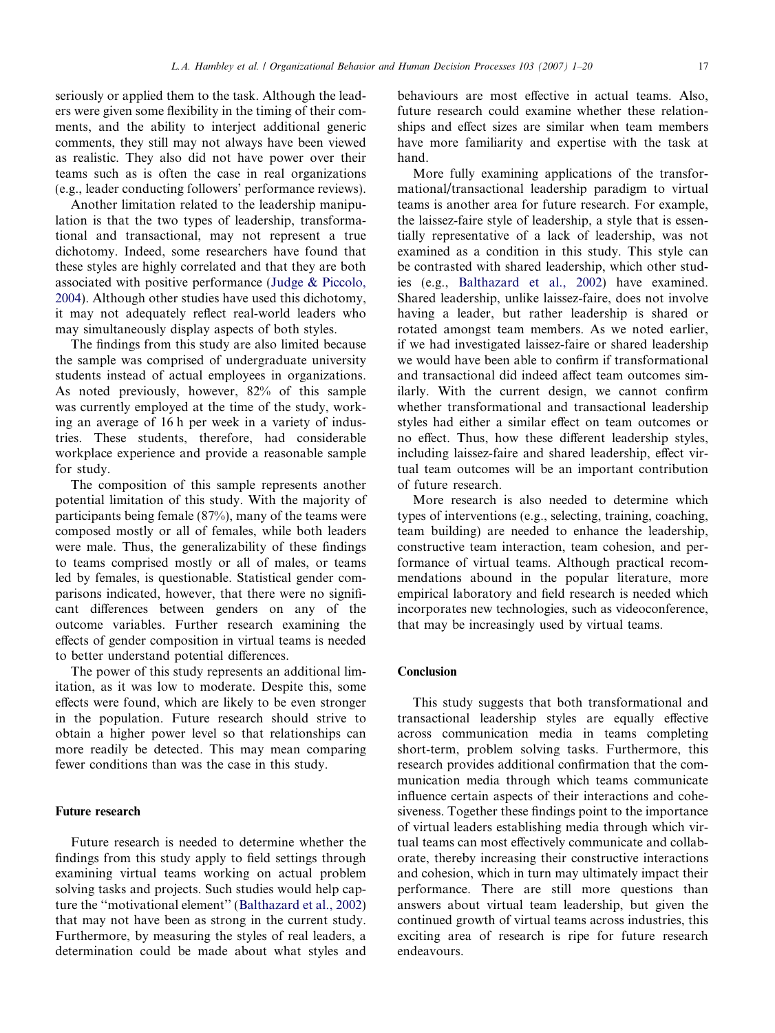seriously or applied them to the task. Although the leaders were given some flexibility in the timing of their comments, and the ability to interject additional generic comments, they still may not always have been viewed as realistic. They also did not have power over their teams such as is often the case in real organizations (e.g., leader conducting followers' performance reviews).

Another limitation related to the leadership manipulation is that the two types of leadership, transformational and transactional, may not represent a true dichotomy. Indeed, some researchers have found that these styles are highly correlated and that they are both associated with positive performance [\(Judge & Piccolo,](#page-18-0) [2004](#page-18-0)). Although other studies have used this dichotomy, it may not adequately reflect real-world leaders who may simultaneously display aspects of both styles.

The findings from this study are also limited because the sample was comprised of undergraduate university students instead of actual employees in organizations. As noted previously, however, 82% of this sample was currently employed at the time of the study, working an average of 16 h per week in a variety of industries. These students, therefore, had considerable workplace experience and provide a reasonable sample for study.

The composition of this sample represents another potential limitation of this study. With the majority of participants being female (87%), many of the teams were composed mostly or all of females, while both leaders were male. Thus, the generalizability of these findings to teams comprised mostly or all of males, or teams led by females, is questionable. Statistical gender comparisons indicated, however, that there were no significant differences between genders on any of the outcome variables. Further research examining the effects of gender composition in virtual teams is needed to better understand potential differences.

The power of this study represents an additional limitation, as it was low to moderate. Despite this, some effects were found, which are likely to be even stronger in the population. Future research should strive to obtain a higher power level so that relationships can more readily be detected. This may mean comparing fewer conditions than was the case in this study.

## Future research

Future research is needed to determine whether the findings from this study apply to field settings through examining virtual teams working on actual problem solving tasks and projects. Such studies would help capture the ''motivational element'' ([Balthazard et al., 2002](#page-17-0)) that may not have been as strong in the current study. Furthermore, by measuring the styles of real leaders, a determination could be made about what styles and behaviours are most effective in actual teams. Also, future research could examine whether these relationships and effect sizes are similar when team members have more familiarity and expertise with the task at hand.

More fully examining applications of the transformational/transactional leadership paradigm to virtual teams is another area for future research. For example, the laissez-faire style of leadership, a style that is essentially representative of a lack of leadership, was not examined as a condition in this study. This style can be contrasted with shared leadership, which other studies (e.g., [Balthazard et al., 2002\)](#page-17-0) have examined. Shared leadership, unlike laissez-faire, does not involve having a leader, but rather leadership is shared or rotated amongst team members. As we noted earlier, if we had investigated laissez-faire or shared leadership we would have been able to confirm if transformational and transactional did indeed affect team outcomes similarly. With the current design, we cannot confirm whether transformational and transactional leadership styles had either a similar effect on team outcomes or no effect. Thus, how these different leadership styles, including laissez-faire and shared leadership, effect virtual team outcomes will be an important contribution of future research.

More research is also needed to determine which types of interventions (e.g., selecting, training, coaching, team building) are needed to enhance the leadership, constructive team interaction, team cohesion, and performance of virtual teams. Although practical recommendations abound in the popular literature, more empirical laboratory and field research is needed which incorporates new technologies, such as videoconference, that may be increasingly used by virtual teams.

# Conclusion

This study suggests that both transformational and transactional leadership styles are equally effective across communication media in teams completing short-term, problem solving tasks. Furthermore, this research provides additional confirmation that the communication media through which teams communicate influence certain aspects of their interactions and cohesiveness. Together these findings point to the importance of virtual leaders establishing media through which virtual teams can most effectively communicate and collaborate, thereby increasing their constructive interactions and cohesion, which in turn may ultimately impact their performance. There are still more questions than answers about virtual team leadership, but given the continued growth of virtual teams across industries, this exciting area of research is ripe for future research endeavours.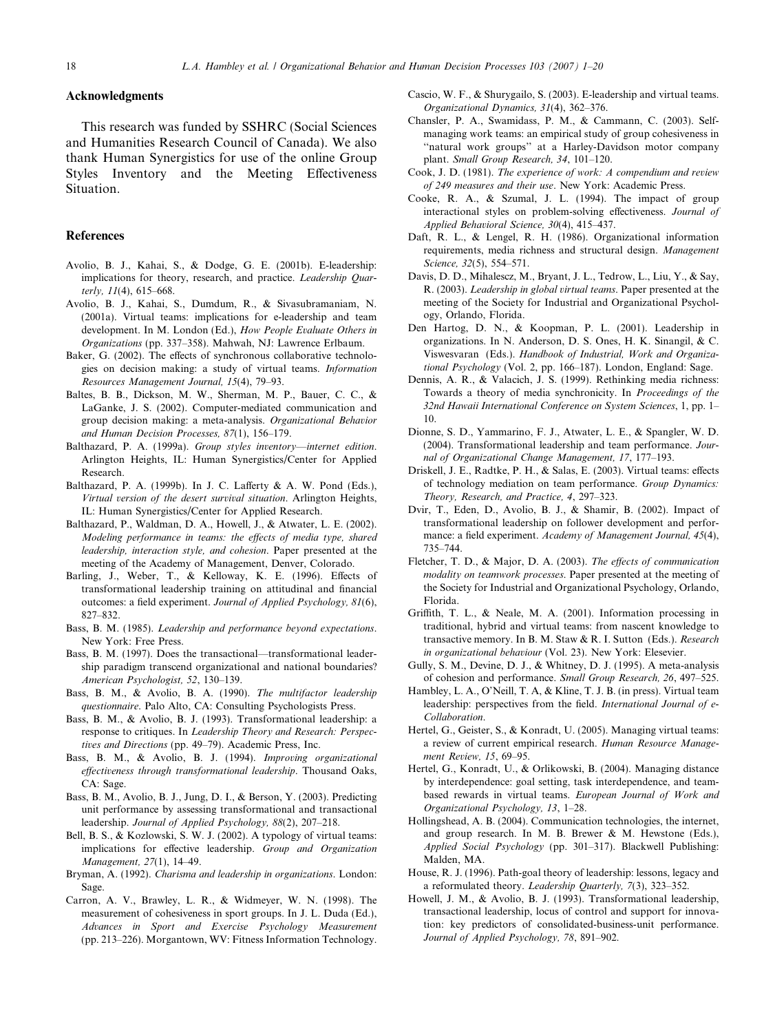# <span id="page-17-0"></span>Acknowledgments

This research was funded by SSHRC (Social Sciences and Humanities Research Council of Canada). We also thank Human Synergistics for use of the online Group Styles Inventory and the Meeting Effectiveness Situation.

#### References

- Avolio, B. J., Kahai, S., & Dodge, G. E. (2001b). E-leadership: implications for theory, research, and practice. Leadership Quarterly, 11(4), 615–668.
- Avolio, B. J., Kahai, S., Dumdum, R., & Sivasubramaniam, N. (2001a). Virtual teams: implications for e-leadership and team development. In M. London (Ed.), How People Evaluate Others in Organizations (pp. 337–358). Mahwah, NJ: Lawrence Erlbaum.
- Baker, G. (2002). The effects of synchronous collaborative technologies on decision making: a study of virtual teams. Information Resources Management Journal, 15(4), 79–93.
- Baltes, B. B., Dickson, M. W., Sherman, M. P., Bauer, C. C., & LaGanke, J. S. (2002). Computer-mediated communication and group decision making: a meta-analysis. Organizational Behavior and Human Decision Processes, 87(1), 156–179.
- Balthazard, P. A. (1999a). Group styles inventory—internet edition. Arlington Heights, IL: Human Synergistics/Center for Applied Research.
- Balthazard, P. A. (1999b). In J. C. Lafferty & A. W. Pond (Eds.), Virtual version of the desert survival situation. Arlington Heights, IL: Human Synergistics/Center for Applied Research.
- Balthazard, P., Waldman, D. A., Howell, J., & Atwater, L. E. (2002). Modeling performance in teams: the effects of media type, shared leadership, interaction style, and cohesion. Paper presented at the meeting of the Academy of Management, Denver, Colorado.
- Barling, J., Weber, T., & Kelloway, K. E. (1996). Effects of transformational leadership training on attitudinal and financial outcomes: a field experiment. Journal of Applied Psychology, 81(6), 827–832.
- Bass, B. M. (1985). Leadership and performance beyond expectations. New York: Free Press.
- Bass, B. M. (1997). Does the transactional—transformational leadership paradigm transcend organizational and national boundaries? American Psychologist, 52, 130–139.
- Bass, B. M., & Avolio, B. A. (1990). The multifactor leadership questionnaire. Palo Alto, CA: Consulting Psychologists Press.
- Bass, B. M., & Avolio, B. J. (1993). Transformational leadership: a response to critiques. In Leadership Theory and Research: Perspectives and Directions (pp. 49–79). Academic Press, Inc.
- Bass, B. M., & Avolio, B. J. (1994). *Improving organizational* effectiveness through transformational leadership. Thousand Oaks, CA: Sage.
- Bass, B. M., Avolio, B. J., Jung, D. I., & Berson, Y. (2003). Predicting unit performance by assessing transformational and transactional leadership. Journal of Applied Psychology, 88(2), 207–218.
- Bell, B. S., & Kozlowski, S. W. J. (2002). A typology of virtual teams: implications for effective leadership. Group and Organization Management, 27(1), 14–49.
- Bryman, A. (1992). Charisma and leadership in organizations. London: Sage.
- Carron, A. V., Brawley, L. R., & Widmeyer, W. N. (1998). The measurement of cohesiveness in sport groups. In J. L. Duda (Ed.), Advances in Sport and Exercise Psychology Measurement (pp. 213–226). Morgantown, WV: Fitness Information Technology.
- Cascio, W. F., & Shurygailo, S. (2003). E-leadership and virtual teams. Organizational Dynamics, 31(4), 362–376.
- Chansler, P. A., Swamidass, P. M., & Cammann, C. (2003). Selfmanaging work teams: an empirical study of group cohesiveness in "natural work groups" at a Harley-Davidson motor company plant. Small Group Research, 34, 101–120.
- Cook, J. D. (1981). The experience of work: A compendium and review of 249 measures and their use. New York: Academic Press.
- Cooke, R. A., & Szumal, J. L. (1994). The impact of group interactional styles on problem-solving effectiveness. Journal of Applied Behavioral Science, 30(4), 415–437.
- Daft, R. L., & Lengel, R. H. (1986). Organizational information requirements, media richness and structural design. Management Science, 32(5), 554–571.
- Davis, D. D., Mihalescz, M., Bryant, J. L., Tedrow, L., Liu, Y., & Say, R. (2003). Leadership in global virtual teams. Paper presented at the meeting of the Society for Industrial and Organizational Psychology, Orlando, Florida.
- Den Hartog, D. N., & Koopman, P. L. (2001). Leadership in organizations. In N. Anderson, D. S. Ones, H. K. Sinangil, & C. Viswesvaran (Eds.). Handbook of Industrial, Work and Organizational Psychology (Vol. 2, pp. 166–187). London, England: Sage.
- Dennis, A. R., & Valacich, J. S. (1999). Rethinking media richness: Towards a theory of media synchronicity. In Proceedings of the 32nd Hawaii International Conference on System Sciences, 1, pp. 1– 10.
- Dionne, S. D., Yammarino, F. J., Atwater, L. E., & Spangler, W. D. (2004). Transformational leadership and team performance. Journal of Organizational Change Management, 17, 177–193.
- Driskell, J. E., Radtke, P. H., & Salas, E. (2003). Virtual teams: effects of technology mediation on team performance. Group Dynamics: Theory, Research, and Practice, 4, 297–323.
- Dvir, T., Eden, D., Avolio, B. J., & Shamir, B. (2002). Impact of transformational leadership on follower development and performance: a field experiment. Academy of Management Journal, 45(4), 735–744.
- Fletcher, T. D., & Major, D. A. (2003). The effects of communication modality on teamwork processes. Paper presented at the meeting of the Society for Industrial and Organizational Psychology, Orlando, Florida.
- Griffith, T. L., & Neale, M. A. (2001). Information processing in traditional, hybrid and virtual teams: from nascent knowledge to transactive memory. In B. M. Staw & R. I. Sutton (Eds.). Research in organizational behaviour (Vol. 23). New York: Elesevier.
- Gully, S. M., Devine, D. J., & Whitney, D. J. (1995). A meta-analysis of cohesion and performance. Small Group Research, 26, 497–525.
- Hambley, L. A., O'Neill, T. A, & Kline, T. J. B. (in press). Virtual team leadership: perspectives from the field. International Journal of e-Collaboration.
- Hertel, G., Geister, S., & Konradt, U. (2005). Managing virtual teams: a review of current empirical research. Human Resource Management Review, 15, 69–95.
- Hertel, G., Konradt, U., & Orlikowski, B. (2004). Managing distance by interdependence: goal setting, task interdependence, and teambased rewards in virtual teams. European Journal of Work and Organizational Psychology, 13, 1–28.
- Hollingshead, A. B. (2004). Communication technologies, the internet, and group research. In M. B. Brewer & M. Hewstone (Eds.), Applied Social Psychology (pp. 301–317). Blackwell Publishing: Malden, MA.
- House, R. J. (1996). Path-goal theory of leadership: lessons, legacy and a reformulated theory. Leadership Quarterly, 7(3), 323–352.
- Howell, J. M., & Avolio, B. J. (1993). Transformational leadership, transactional leadership, locus of control and support for innovation: key predictors of consolidated-business-unit performance. Journal of Applied Psychology, 78, 891–902.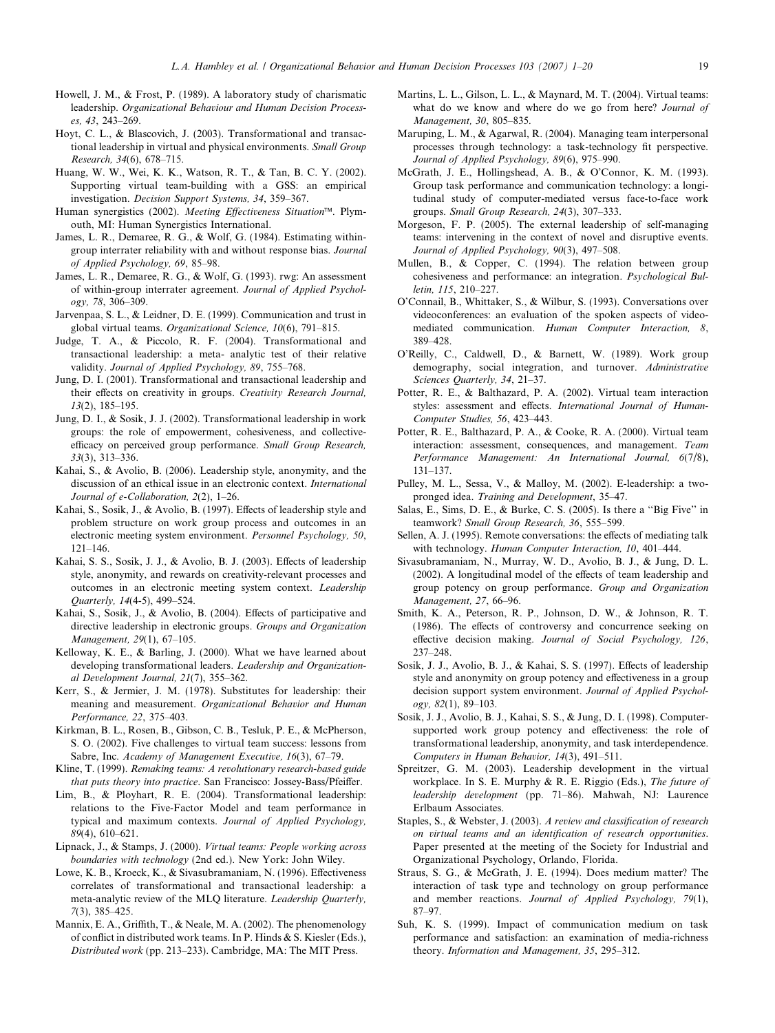- <span id="page-18-0"></span>Howell, J. M., & Frost, P. (1989). A laboratory study of charismatic leadership. Organizational Behaviour and Human Decision Processes, 43, 243–269.
- Hoyt, C. L., & Blascovich, J. (2003). Transformational and transactional leadership in virtual and physical environments. Small Group Research, 34(6), 678–715.
- Huang, W. W., Wei, K. K., Watson, R. T., & Tan, B. C. Y. (2002). Supporting virtual team-building with a GSS: an empirical investigation. Decision Support Systems, 34, 359–367.
- Human synergistics (2002). Meeting Effectiveness Situation<sup>™</sup>. Plymouth, MI: Human Synergistics International.
- James, L. R., Demaree, R. G., & Wolf, G. (1984). Estimating withingroup interrater reliability with and without response bias. Journal of Applied Psychology, 69, 85–98.
- James, L. R., Demaree, R. G., & Wolf, G. (1993). rwg: An assessment of within-group interrater agreement. Journal of Applied Psychology, 78, 306–309.
- Jarvenpaa, S. L., & Leidner, D. E. (1999). Communication and trust in global virtual teams. Organizational Science, 10(6), 791–815.
- Judge, T. A., & Piccolo, R. F. (2004). Transformational and transactional leadership: a meta- analytic test of their relative validity. Journal of Applied Psychology, 89, 755–768.
- Jung, D. I. (2001). Transformational and transactional leadership and their effects on creativity in groups. Creativity Research Journal, 13(2), 185–195.
- Jung, D. I., & Sosik, J. J. (2002). Transformational leadership in work groups: the role of empowerment, cohesiveness, and collectiveefficacy on perceived group performance. Small Group Research, 33(3), 313–336.
- Kahai, S., & Avolio, B. (2006). Leadership style, anonymity, and the discussion of an ethical issue in an electronic context. International Journal of e-Collaboration, 2(2), 1–26.
- Kahai, S., Sosik, J., & Avolio, B. (1997). Effects of leadership style and problem structure on work group process and outcomes in an electronic meeting system environment. Personnel Psychology, 50, 121–146.
- Kahai, S. S., Sosik, J. J., & Avolio, B. J. (2003). Effects of leadership style, anonymity, and rewards on creativity-relevant processes and outcomes in an electronic meeting system context. Leadership Quarterly, 14(4-5), 499–524.
- Kahai, S., Sosik, J., & Avolio, B. (2004). Effects of participative and directive leadership in electronic groups. Groups and Organization Management, 29(1), 67–105.
- Kelloway, K. E., & Barling, J. (2000). What we have learned about developing transformational leaders. Leadership and Organizational Development Journal, 21(7), 355–362.
- Kerr, S., & Jermier, J. M. (1978). Substitutes for leadership: their meaning and measurement. Organizational Behavior and Human Performance, 22, 375–403.
- Kirkman, B. L., Rosen, B., Gibson, C. B., Tesluk, P. E., & McPherson, S. O. (2002). Five challenges to virtual team success: lessons from Sabre, Inc. Academy of Management Executive, 16(3), 67-79.
- Kline, T. (1999). Remaking teams: A revolutionary research-based guide that puts theory into practice. San Francisco: Jossey-Bass/Pfeiffer.
- Lim, B., & Ployhart, R. E. (2004). Transformational leadership: relations to the Five-Factor Model and team performance in typical and maximum contexts. Journal of Applied Psychology, 89(4), 610–621.
- Lipnack, J., & Stamps, J. (2000). Virtual teams: People working across boundaries with technology (2nd ed.). New York: John Wiley.
- Lowe, K. B., Kroeck, K., & Sivasubramaniam, N. (1996). Effectiveness correlates of transformational and transactional leadership: a meta-analytic review of the MLQ literature. Leadership Quarterly, 7(3), 385–425.
- Mannix, E. A., Griffith, T., & Neale, M. A. (2002). The phenomenology of conflict in distributed work teams. In P. Hinds & S. Kiesler (Eds.), Distributed work (pp. 213–233). Cambridge, MA: The MIT Press.
- Martins, L. L., Gilson, L. L., & Maynard, M. T. (2004). Virtual teams: what do we know and where do we go from here? Journal of Management, 30, 805–835.
- Maruping, L. M., & Agarwal, R. (2004). Managing team interpersonal processes through technology: a task-technology fit perspective. Journal of Applied Psychology, 89(6), 975–990.
- McGrath, J. E., Hollingshead, A. B., & O'Connor, K. M. (1993). Group task performance and communication technology: a longitudinal study of computer-mediated versus face-to-face work groups. Small Group Research, 24(3), 307–333.
- Morgeson, F. P. (2005). The external leadership of self-managing teams: intervening in the context of novel and disruptive events. Journal of Applied Psychology, 90(3), 497–508.
- Mullen, B., & Copper, C. (1994). The relation between group cohesiveness and performance: an integration. Psychological Bulletin, 115, 210–227.
- O'Connail, B., Whittaker, S., & Wilbur, S. (1993). Conversations over videoconferences: an evaluation of the spoken aspects of videomediated communication. Human Computer Interaction, 8, 389–428.
- O'Reilly, C., Caldwell, D., & Barnett, W. (1989). Work group demography, social integration, and turnover. Administrative Sciences Quarterly, 34, 21–37.
- Potter, R. E., & Balthazard, P. A. (2002). Virtual team interaction styles: assessment and effects. International Journal of Human-Computer Studies, 56, 423–443.
- Potter, R. E., Balthazard, P. A., & Cooke, R. A. (2000). Virtual team interaction: assessment, consequences, and management. Team Performance Management: An International Journal, 6(7/8), 131–137.
- Pulley, M. L., Sessa, V., & Malloy, M. (2002). E-leadership: a twopronged idea. Training and Development, 35–47.
- Salas, E., Sims, D. E., & Burke, C. S. (2005). Is there a ''Big Five'' in teamwork? Small Group Research, 36, 555–599.
- Sellen, A. J. (1995). Remote conversations: the effects of mediating talk with technology. Human Computer Interaction, 10, 401–444.
- Sivasubramaniam, N., Murray, W. D., Avolio, B. J., & Jung, D. L. (2002). A longitudinal model of the effects of team leadership and group potency on group performance. Group and Organization Management, 27, 66–96.
- Smith, K. A., Peterson, R. P., Johnson, D. W., & Johnson, R. T. (1986). The effects of controversy and concurrence seeking on effective decision making. Journal of Social Psychology, 126, 237–248.
- Sosik, J. J., Avolio, B. J., & Kahai, S. S. (1997). Effects of leadership style and anonymity on group potency and effectiveness in a group decision support system environment. Journal of Applied Psychology, 82(1), 89–103.
- Sosik, J. J., Avolio, B. J., Kahai, S. S., & Jung, D. I. (1998). Computersupported work group potency and effectiveness: the role of transformational leadership, anonymity, and task interdependence. Computers in Human Behavior, 14(3), 491–511.
- Spreitzer, G. M. (2003). Leadership development in the virtual workplace. In S. E. Murphy & R. E. Riggio (Eds.), The future of leadership development (pp. 71–86). Mahwah, NJ: Laurence Erlbaum Associates.
- Staples, S., & Webster, J. (2003). A review and classification of research on virtual teams and an identification of research opportunities. Paper presented at the meeting of the Society for Industrial and Organizational Psychology, Orlando, Florida.
- Straus, S. G., & McGrath, J. E. (1994). Does medium matter? The interaction of task type and technology on group performance and member reactions. Journal of Applied Psychology, 79(1), 87–97.
- Suh, K. S. (1999). Impact of communication medium on task performance and satisfaction: an examination of media-richness theory. Information and Management, 35, 295–312.